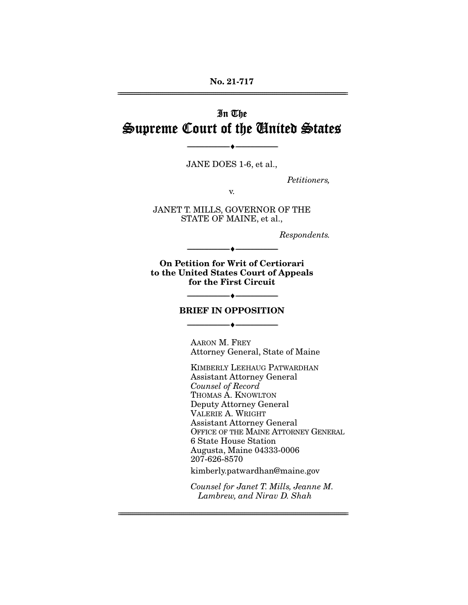### **No. 21-717**  ================================================================================================================

# In The Supreme Court of the United States

JANE DOES 1-6, et al.,

--------------------------------- ♦ ---------------------------------

Petitioners,

v.

JANET T. MILLS, GOVERNOR OF THE STATE OF MAINE, et al.,

Respondents.

**On Petition for Writ of Certiorari to the United States Court of Appeals for the First Circuit** 

--------------------------------- ♦ ---------------------------------

#### **BRIEF IN OPPOSITION**

--------------------------------- ♦ ---------------------------------

AARON M. FREY Attorney General, State of Maine

--------------------------------- ♦ ---------------------------------

KIMBERLY LEEHAUG PATWARDHAN Assistant Attorney General Counsel of Record THOMAS A. KNOWLTON Deputy Attorney General VALERIE A. WRIGHT Assistant Attorney General OFFICE OF THE MAINE ATTORNEY GENERAL 6 State House Station Augusta, Maine 04333-0006 207-626-8570

kimberly.patwardhan@maine.gov

================================================================================================================

Counsel for Janet T. Mills, Jeanne M. Lambrew, and Nirav D. Shah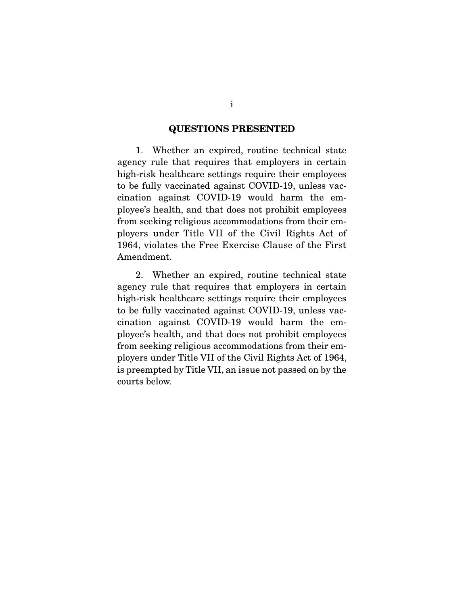#### **QUESTIONS PRESENTED**

 1. Whether an expired, routine technical state agency rule that requires that employers in certain high-risk healthcare settings require their employees to be fully vaccinated against COVID-19, unless vaccination against COVID-19 would harm the employee's health, and that does not prohibit employees from seeking religious accommodations from their employers under Title VII of the Civil Rights Act of 1964, violates the Free Exercise Clause of the First Amendment.

 2. Whether an expired, routine technical state agency rule that requires that employers in certain high-risk healthcare settings require their employees to be fully vaccinated against COVID-19, unless vaccination against COVID-19 would harm the employee's health, and that does not prohibit employees from seeking religious accommodations from their employers under Title VII of the Civil Rights Act of 1964, is preempted by Title VII, an issue not passed on by the courts below.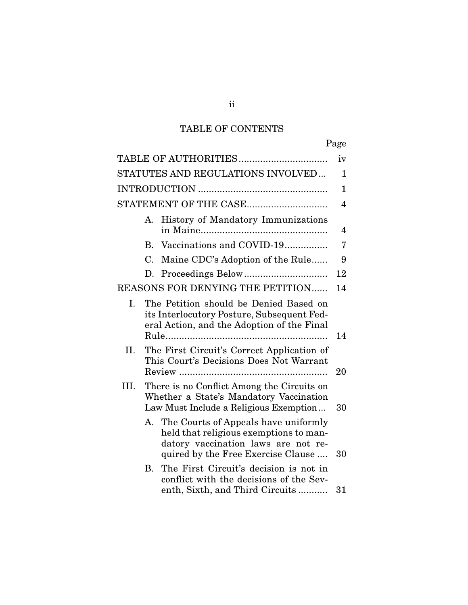# TABLE OF CONTENTS

ii

|      |           |                                                                                                                                                             | iv             |
|------|-----------|-------------------------------------------------------------------------------------------------------------------------------------------------------------|----------------|
|      |           | STATUTES AND REGULATIONS INVOLVED                                                                                                                           | 1              |
|      |           |                                                                                                                                                             | $\mathbf 1$    |
|      |           | STATEMENT OF THE CASE                                                                                                                                       | $\overline{4}$ |
|      | А.        | History of Mandatory Immunizations                                                                                                                          | 4              |
|      | <b>B.</b> | Vaccinations and COVID-19                                                                                                                                   | 7              |
|      | C.        | Maine CDC's Adoption of the Rule                                                                                                                            | 9              |
|      | D.        |                                                                                                                                                             | 12             |
|      |           | REASONS FOR DENYING THE PETITION                                                                                                                            | 14             |
| Ι.   |           | The Petition should be Denied Based on<br>its Interlocutory Posture, Subsequent Fed-<br>eral Action, and the Adoption of the Final                          | 14             |
| II.  |           | The First Circuit's Correct Application of<br>This Court's Decisions Does Not Warrant                                                                       | 20             |
| III. |           | There is no Conflict Among the Circuits on<br>Whether a State's Mandatory Vaccination<br>Law Must Include a Religious Exemption                             | 30             |
|      | A.        | The Courts of Appeals have uniformly<br>held that religious exemptions to man-<br>datory vaccination laws are not re-<br>quired by the Free Exercise Clause | 30             |
|      | В.        | The First Circuit's decision is not in<br>conflict with the decisions of the Sev-<br>enth, Sixth, and Third Circuits                                        | 31             |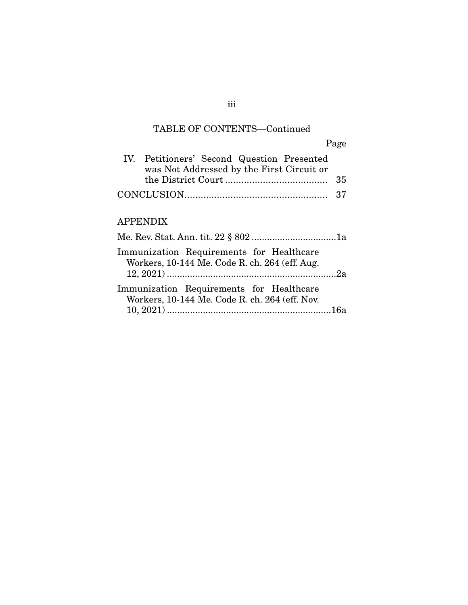### TABLE OF CONTENTS—Continued

Page IV. Petitioners' Second Question Presented was Not Addressed by the First Circuit or the District Court ...................................... 35 CONCLUSION ..................................................... 37

### APPENDIX

| Immunization Requirements for Healthcare<br>Workers, 10-144 Me. Code R. ch. 264 (eff. Aug. |  |
|--------------------------------------------------------------------------------------------|--|
| Immunization Requirements for Healthcare<br>Workers, 10-144 Me. Code R. ch. 264 (eff. Nov. |  |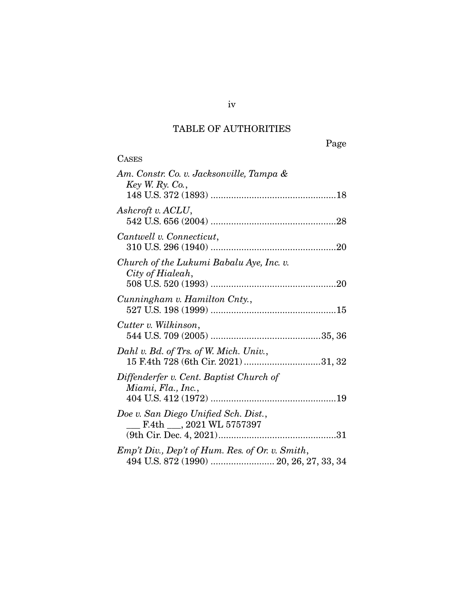## TABLE OF AUTHORITIES

| <b>CASES</b>                                                                  |
|-------------------------------------------------------------------------------|
| Am. Constr. Co. v. Jacksonville, Tampa &<br>Key W. Ry. Co.,                   |
| Ashcroft v. ACLU,                                                             |
| Cantwell v. Connecticut,                                                      |
| Church of the Lukumi Babalu Aye, Inc. v.<br>City of Hialeah,                  |
| Cunningham v. Hamilton Cnty.,                                                 |
| Cutter v. Wilkinson,                                                          |
| Dahl v. Bd. of Trs. of W. Mich. Univ.,<br>15 F.4th 728 (6th Cir. 2021) 31, 32 |
| Diffenderfer v. Cent. Baptist Church of<br>Miami, Fla., Inc.,                 |
| Doe v. San Diego Unified Sch. Dist.,<br>$\_$ F.4th $\_$ , 2021 WL 5757397     |
| Emp't Div., Dep't of Hum. Res. of Or. v. Smith,                               |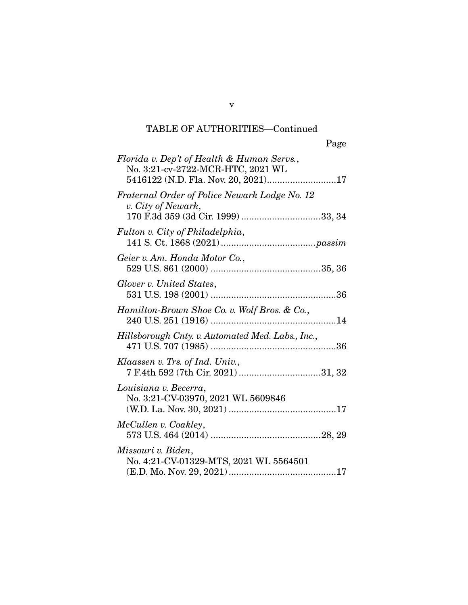v

| Florida v. Dep't of Health & Human Servs.,<br>No. 3:21-cv-2722-MCR-HTC, 2021 WL<br>5416122 (N.D. Fla. Nov. 20, 2021)17 |
|------------------------------------------------------------------------------------------------------------------------|
| Fraternal Order of Police Newark Lodge No. 12<br>v. City of Newark,                                                    |
| Fulton v. City of Philadelphia,                                                                                        |
| Geier v. Am. Honda Motor Co.,                                                                                          |
| Glover v. United States,                                                                                               |
| Hamilton-Brown Shoe Co. v. Wolf Bros. & Co.,                                                                           |
| Hillsborough Cnty. v. Automated Med. Labs., Inc.,                                                                      |
| Klaassen v. Trs. of Ind. Univ.,<br>7 F.4th 592 (7th Cir. 2021) 31, 32                                                  |
| Louisiana v. Becerra,<br>No. 3:21-CV-03970, 2021 WL 5609846                                                            |
| McCullen v. Coakley,                                                                                                   |
| Missouri v. Biden,<br>No. 4:21-CV-01329-MTS, 2021 WL 5564501                                                           |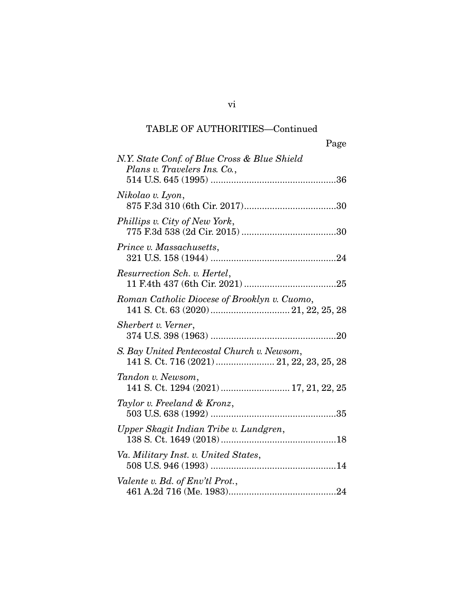| Page                                                                                     |
|------------------------------------------------------------------------------------------|
| N.Y. State Conf. of Blue Cross & Blue Shield<br>Plans v. Travelers Ins. Co.,             |
| Nikolao v. Lyon,                                                                         |
| Phillips v. City of New York,                                                            |
| Prince v. Massachusetts,                                                                 |
| Resurrection Sch. v. Hertel,                                                             |
| Roman Catholic Diocese of Brooklyn v. Cuomo,                                             |
| Sherbert v. Verner,                                                                      |
| S. Bay United Pentecostal Church v. Newsom,<br>141 S. Ct. 716 (2021)  21, 22, 23, 25, 28 |
| Tandon v. Newsom,<br>141 S. Ct. 1294 (2021)  17, 21, 22, 25                              |
| Taylor v. Freeland & Kronz,                                                              |
| Upper Skagit Indian Tribe v. Lundgren,                                                   |
| Va. Military Inst. v. United States,                                                     |
| Valente v. Bd. of Env'tl Prot.,                                                          |

vi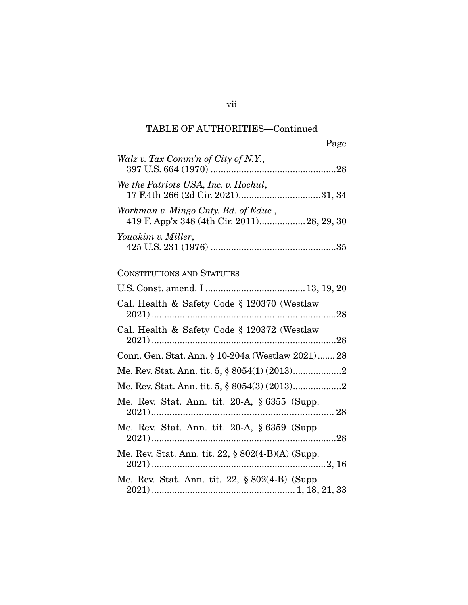| Page                                                                                |
|-------------------------------------------------------------------------------------|
| Walz v. Tax Comm'n of City of N.Y.,                                                 |
| We the Patriots USA, Inc. v. Hochul,                                                |
| Workman v. Mingo Cnty. Bd. of Educ.,<br>419 F. App'x 348 (4th Cir. 2011) 28, 29, 30 |
| Youakim v. Miller,                                                                  |
| CONSTITUTIONS AND STATUTES                                                          |
|                                                                                     |
| Cal. Health & Safety Code § 120370 (Westlaw                                         |
| Cal. Health & Safety Code § 120372 (Westlaw                                         |
| Conn. Gen. Stat. Ann. § 10-204a (Westlaw 2021) 28                                   |
|                                                                                     |
|                                                                                     |
| Me. Rev. Stat. Ann. tit. 20-A, § 6355 (Supp.                                        |
| Me. Rev. Stat. Ann. tit. 20-A, § 6359 (Supp.                                        |
| Me. Rev. Stat. Ann. tit. 22, § 802(4-B)(A) (Supp.                                   |
| Me. Rev. Stat. Ann. tit. 22, § 802(4-B) (Supp.                                      |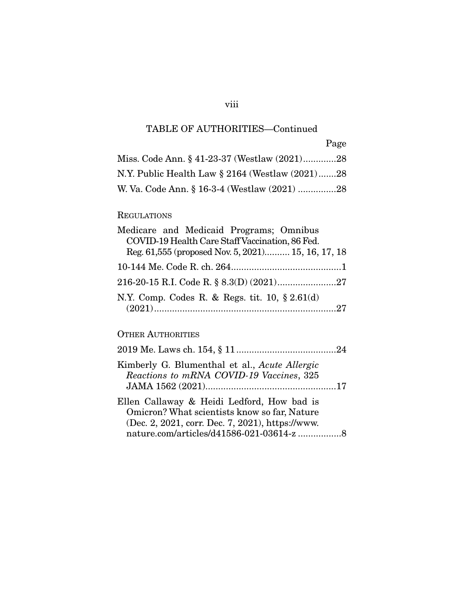## viii

# TABLE OF AUTHORITIES—Continued

| Page |  |
|------|--|

| Miss. Code Ann. § 41-23-37 (Westlaw (2021)28    |  |
|-------------------------------------------------|--|
| N.Y. Public Health Law § 2164 (Westlaw (2021)28 |  |
| W. Va. Code Ann. § 16-3-4 (Westlaw (2021) 28    |  |

### REGULATIONS

| Medicare and Medicaid Programs; Omnibus            |
|----------------------------------------------------|
| COVID-19 Health Care Staff Vaccination, 86 Fed.    |
| Reg. 61,555 (proposed Nov. 5, 2021) 15, 16, 17, 18 |
|                                                    |
|                                                    |
| N.Y. Comp. Codes R. & Regs. tit. 10, $\S 2.61(d)$  |

### OTHER AUTHORITIES

| Kimberly G. Blumenthal et al., Acute Allergic<br>Reactions to mRNA COVID-19 Vaccines, 325                                                                                                  |  |
|--------------------------------------------------------------------------------------------------------------------------------------------------------------------------------------------|--|
| Ellen Callaway & Heidi Ledford, How bad is<br>Omicron? What scientists know so far, Nature<br>(Dec. 2, 2021, corr. Dec. 7, 2021), https://www.<br>nature.com/articles/d41586-021-03614-z 8 |  |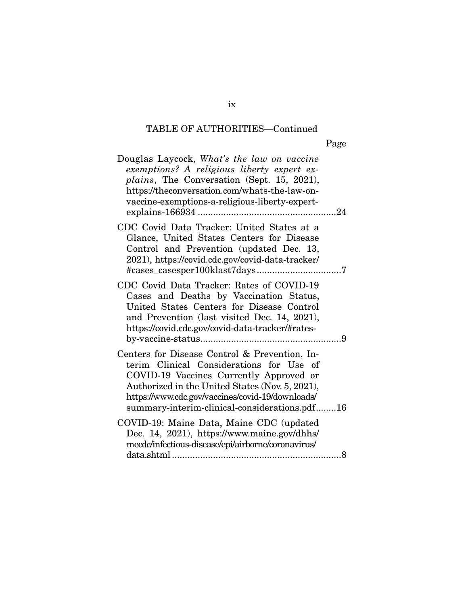| Page |
|------|
|------|

| Douglas Laycock, What's the law on vaccine<br>exemptions? A religious liberty expert ex-<br><i>plains</i> , The Conversation (Sept. 15, 2021),<br>https://theconversation.com/whats-the-law-on-<br>vaccine-exemptions-a-religious-liberty-expert-                                            |
|----------------------------------------------------------------------------------------------------------------------------------------------------------------------------------------------------------------------------------------------------------------------------------------------|
| CDC Covid Data Tracker: United States at a<br>Glance, United States Centers for Disease<br>Control and Prevention (updated Dec. 13,<br>2021), https://covid.cdc.gov/covid-data-tracker/                                                                                                      |
| CDC Covid Data Tracker: Rates of COVID-19<br>Cases and Deaths by Vaccination Status,<br>United States Centers for Disease Control<br>and Prevention (last visited Dec. 14, 2021),<br>https://covid.cdc.gov/covid-data-tracker/#rates-                                                        |
| Centers for Disease Control & Prevention, In-<br>terim Clinical Considerations for Use of<br>COVID-19 Vaccines Currently Approved or<br>Authorized in the United States (Nov. 5, 2021),<br>https://www.cdc.gov/vaccines/covid-19/downloads/<br>summary-interim-clinical-considerations.pdf16 |
| COVID-19: Maine Data, Maine CDC (updated<br>Dec. 14, 2021), https://www.maine.gov/dhhs/<br>mecdc/infectious-disease/epi/airborne/coronavirus/                                                                                                                                                |

ix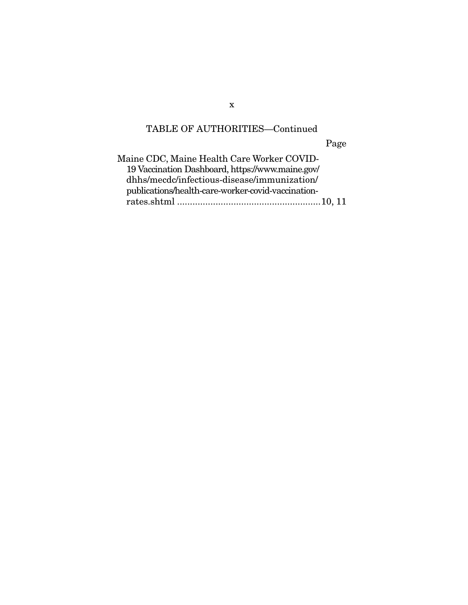Page

| Maine CDC, Maine Health Care Worker COVID-         |
|----------------------------------------------------|
| 19 Vaccination Dashboard, https://www.maine.gov/   |
| dhhs/mecdc/infectious-disease/immunization/        |
| publications/health-care-worker-covid-vaccination- |
|                                                    |
|                                                    |

x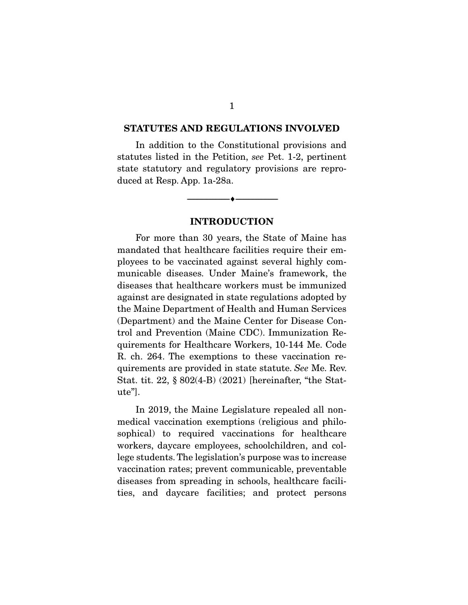#### **STATUTES AND REGULATIONS INVOLVED**

 In addition to the Constitutional provisions and statutes listed in the Petition, see Pet. 1-2, pertinent state statutory and regulatory provisions are reproduced at Resp. App. 1a-28a.

#### **INTRODUCTION**

--------------------------------- ♦ ---------------------------------

 For more than 30 years, the State of Maine has mandated that healthcare facilities require their employees to be vaccinated against several highly communicable diseases. Under Maine's framework, the diseases that healthcare workers must be immunized against are designated in state regulations adopted by the Maine Department of Health and Human Services (Department) and the Maine Center for Disease Control and Prevention (Maine CDC). Immunization Requirements for Healthcare Workers, 10-144 Me. Code R. ch. 264. The exemptions to these vaccination requirements are provided in state statute. See Me. Rev. Stat. tit. 22, § 802(4-B) (2021) [hereinafter, "the Statute"].

 In 2019, the Maine Legislature repealed all nonmedical vaccination exemptions (religious and philosophical) to required vaccinations for healthcare workers, daycare employees, schoolchildren, and college students. The legislation's purpose was to increase vaccination rates; prevent communicable, preventable diseases from spreading in schools, healthcare facilities, and daycare facilities; and protect persons

1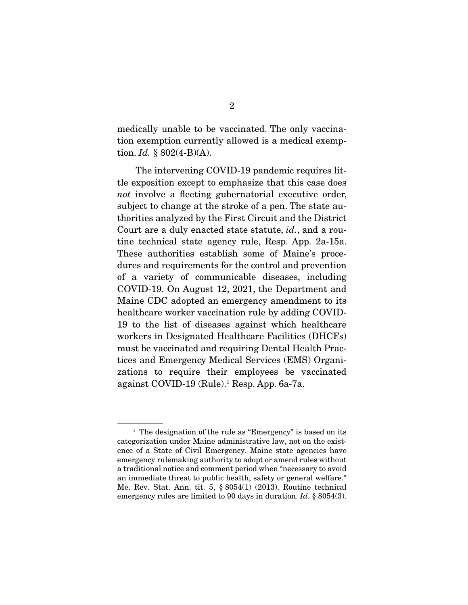medically unable to be vaccinated. The only vaccination exemption currently allowed is a medical exemption. *Id.*  $§ 802(4-B)(A)$ .

 The intervening COVID-19 pandemic requires little exposition except to emphasize that this case does not involve a fleeting gubernatorial executive order, subject to change at the stroke of a pen. The state authorities analyzed by the First Circuit and the District Court are a duly enacted state statute, id., and a routine technical state agency rule, Resp. App. 2a-15a. These authorities establish some of Maine's procedures and requirements for the control and prevention of a variety of communicable diseases, including COVID-19. On August 12, 2021, the Department and Maine CDC adopted an emergency amendment to its healthcare worker vaccination rule by adding COVID-19 to the list of diseases against which healthcare workers in Designated Healthcare Facilities (DHCFs) must be vaccinated and requiring Dental Health Practices and Emergency Medical Services (EMS) Organizations to require their employees be vaccinated against COVID-19 (Rule).1 Resp. App. 6a-7a.

<sup>&</sup>lt;sup>1</sup> The designation of the rule as "Emergency" is based on its categorization under Maine administrative law, not on the existence of a State of Civil Emergency. Maine state agencies have emergency rulemaking authority to adopt or amend rules without a traditional notice and comment period when "necessary to avoid an immediate threat to public health, safety or general welfare." Me. Rev. Stat. Ann. tit. 5, § 8054(1) (2013). Routine technical emergency rules are limited to 90 days in duration. *Id.* § 8054(3).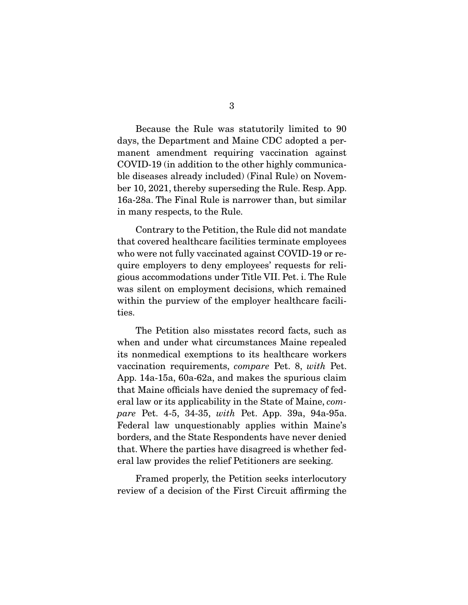Because the Rule was statutorily limited to 90 days, the Department and Maine CDC adopted a permanent amendment requiring vaccination against COVID-19 (in addition to the other highly communicable diseases already included) (Final Rule) on November 10, 2021, thereby superseding the Rule. Resp. App. 16a-28a. The Final Rule is narrower than, but similar in many respects, to the Rule.

 Contrary to the Petition, the Rule did not mandate that covered healthcare facilities terminate employees who were not fully vaccinated against COVID-19 or require employers to deny employees' requests for religious accommodations under Title VII. Pet. i. The Rule was silent on employment decisions, which remained within the purview of the employer healthcare facilities.

 The Petition also misstates record facts, such as when and under what circumstances Maine repealed its nonmedical exemptions to its healthcare workers vaccination requirements, compare Pet. 8, with Pet. App. 14a-15a, 60a-62a, and makes the spurious claim that Maine offcials have denied the supremacy of federal law or its applicability in the State of Maine, compare Pet. 4-5, 34-35, with Pet. App. 39a, 94a-95a. Federal law unquestionably applies within Maine's borders, and the State Respondents have never denied that. Where the parties have disagreed is whether federal law provides the relief Petitioners are seeking.

 Framed properly, the Petition seeks interlocutory review of a decision of the First Circuit affrming the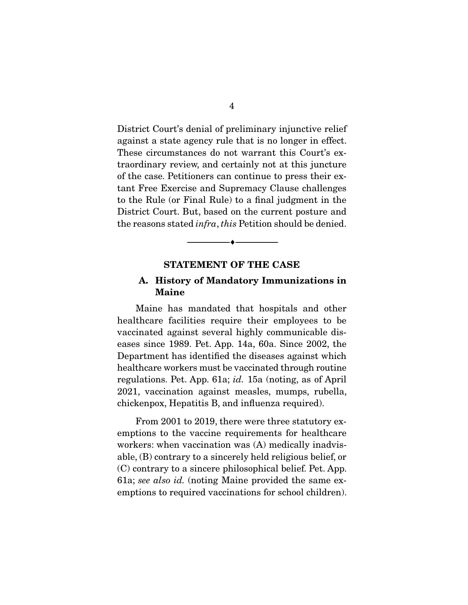District Court's denial of preliminary injunctive relief against a state agency rule that is no longer in effect. These circumstances do not warrant this Court's extraordinary review, and certainly not at this juncture of the case. Petitioners can continue to press their extant Free Exercise and Supremacy Clause challenges to the Rule (or Final Rule) to a fnal judgment in the District Court. But, based on the current posture and the reasons stated infra, this Petition should be denied.

#### **STATEMENT OF THE CASE**

--------------------------------- ♦ ---------------------------------

#### **A. History of Mandatory Immunizations in Maine**

 Maine has mandated that hospitals and other healthcare facilities require their employees to be vaccinated against several highly communicable diseases since 1989. Pet. App. 14a, 60a. Since 2002, the Department has identifed the diseases against which healthcare workers must be vaccinated through routine regulations. Pet. App. 61a; id. 15a (noting, as of April 2021, vaccination against measles, mumps, rubella, chickenpox, Hepatitis B, and infuenza required).

 From 2001 to 2019, there were three statutory exemptions to the vaccine requirements for healthcare workers: when vaccination was (A) medically inadvisable, (B) contrary to a sincerely held religious belief, or (C) contrary to a sincere philosophical belief. Pet. App. 61a; see also id. (noting Maine provided the same exemptions to required vaccinations for school children).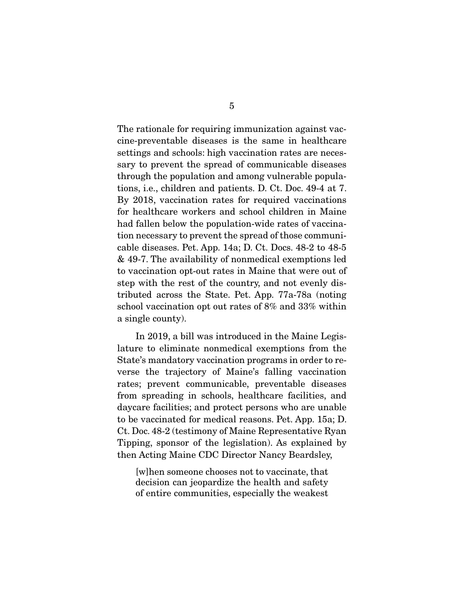The rationale for requiring immunization against vaccine-preventable diseases is the same in healthcare settings and schools: high vaccination rates are necessary to prevent the spread of communicable diseases through the population and among vulnerable populations, i.e., children and patients. D. Ct. Doc. 49-4 at 7. By 2018, vaccination rates for required vaccinations for healthcare workers and school children in Maine had fallen below the population-wide rates of vaccination necessary to prevent the spread of those communicable diseases. Pet. App. 14a; D. Ct. Docs. 48-2 to 48-5 & 49-7. The availability of nonmedical exemptions led to vaccination opt-out rates in Maine that were out of step with the rest of the country, and not evenly distributed across the State. Pet. App. 77a-78a (noting school vaccination opt out rates of 8% and 33% within a single county).

 In 2019, a bill was introduced in the Maine Legislature to eliminate nonmedical exemptions from the State's mandatory vaccination programs in order to reverse the trajectory of Maine's falling vaccination rates; prevent communicable, preventable diseases from spreading in schools, healthcare facilities, and daycare facilities; and protect persons who are unable to be vaccinated for medical reasons. Pet. App. 15a; D. Ct. Doc. 48-2 (testimony of Maine Representative Ryan Tipping, sponsor of the legislation). As explained by then Acting Maine CDC Director Nancy Beardsley,

[w]hen someone chooses not to vaccinate, that decision can jeopardize the health and safety of entire communities, especially the weakest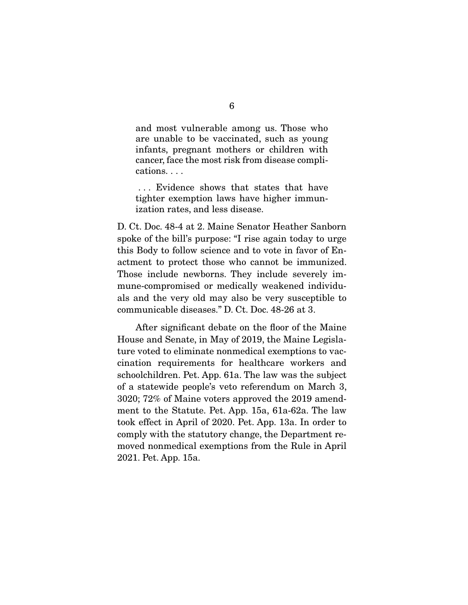and most vulnerable among us. Those who are unable to be vaccinated, such as young infants, pregnant mothers or children with cancer, face the most risk from disease complications. . . .

 . . . Evidence shows that states that have tighter exemption laws have higher immunization rates, and less disease.

D. Ct. Doc. 48-4 at 2. Maine Senator Heather Sanborn spoke of the bill's purpose: "I rise again today to urge this Body to follow science and to vote in favor of Enactment to protect those who cannot be immunized. Those include newborns. They include severely immune-compromised or medically weakened individuals and the very old may also be very susceptible to communicable diseases." D. Ct. Doc. 48-26 at 3.

 After signifcant debate on the foor of the Maine House and Senate, in May of 2019, the Maine Legislature voted to eliminate nonmedical exemptions to vaccination requirements for healthcare workers and schoolchildren. Pet. App. 61a. The law was the subject of a statewide people's veto referendum on March 3, 3020; 72% of Maine voters approved the 2019 amendment to the Statute. Pet. App. 15a, 61a-62a. The law took effect in April of 2020. Pet. App. 13a. In order to comply with the statutory change, the Department removed nonmedical exemptions from the Rule in April 2021. Pet. App. 15a.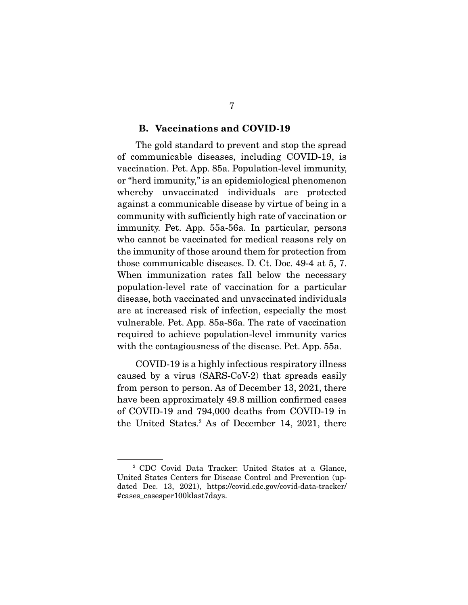#### **B. Vaccinations and COVID-19**

 The gold standard to prevent and stop the spread of communicable diseases, including COVID-19, is vaccination. Pet. App. 85a. Population-level immunity, or "herd immunity," is an epidemiological phenomenon whereby unvaccinated individuals are protected against a communicable disease by virtue of being in a community with suffciently high rate of vaccination or immunity. Pet. App. 55a-56a. In particular, persons who cannot be vaccinated for medical reasons rely on the immunity of those around them for protection from those communicable diseases. D. Ct. Doc. 49-4 at 5, 7. When immunization rates fall below the necessary population-level rate of vaccination for a particular disease, both vaccinated and unvaccinated individuals are at increased risk of infection, especially the most vulnerable. Pet. App. 85a-86a. The rate of vaccination required to achieve population-level immunity varies with the contagiousness of the disease. Pet. App. 55a.

 COVID-19 is a highly infectious respiratory illness caused by a virus (SARS-CoV-2) that spreads easily from person to person. As of December 13, 2021, there have been approximately 49.8 million confrmed cases of COVID-19 and 794,000 deaths from COVID-19 in the United States.2 As of December 14, 2021, there

<sup>2</sup> CDC Covid Data Tracker: United States at a Glance, United States Centers for Disease Control and Prevention (updated Dec. 13, 2021), https://covid.cdc.gov/covid-data-tracker/ #cases\_casesper100klast7days.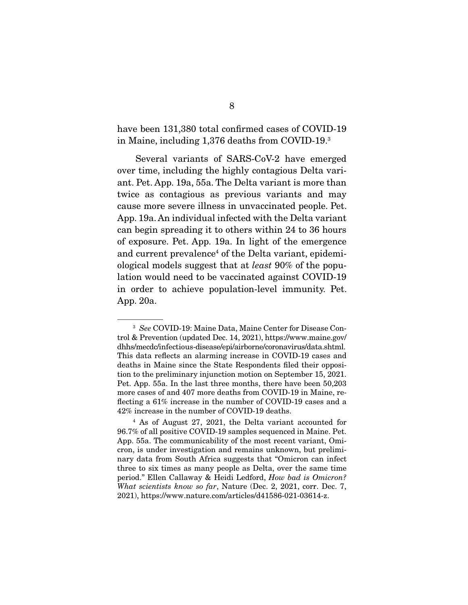have been 131,380 total confirmed cases of COVID-19 in Maine, including 1,376 deaths from COVID-19.3

 Several variants of SARS-CoV-2 have emerged over time, including the highly contagious Delta variant. Pet. App. 19a, 55a. The Delta variant is more than twice as contagious as previous variants and may cause more severe illness in unvaccinated people. Pet. App. 19a. An individual infected with the Delta variant can begin spreading it to others within 24 to 36 hours of exposure. Pet. App. 19a. In light of the emergence and current prevalence<sup>4</sup> of the Delta variant, epidemiological models suggest that at least 90% of the population would need to be vaccinated against COVID-19 in order to achieve population-level immunity. Pet. App. 20a.

<sup>3</sup> See COVID-19: Maine Data, Maine Center for Disease Control & Prevention (updated Dec. 14, 2021), https://www.maine.gov/ dhhs/mecdc/infectious-disease/epi/airborne/coronavirus/data.shtml. This data refects an alarming increase in COVID-19 cases and deaths in Maine since the State Respondents fled their opposition to the preliminary injunction motion on September 15, 2021. Pet. App. 55a. In the last three months, there have been 50,203 more cases of and 407 more deaths from COVID-19 in Maine, refecting a 61% increase in the number of COVID-19 cases and a 42% increase in the number of COVID-19 deaths.

<sup>4</sup> As of August 27, 2021, the Delta variant accounted for 96.7% of all positive COVID-19 samples sequenced in Maine. Pet. App. 55a. The communicability of the most recent variant, Omicron, is under investigation and remains unknown, but preliminary data from South Africa suggests that "Omicron can infect three to six times as many people as Delta, over the same time period." Ellen Callaway & Heidi Ledford, How bad is Omicron? What scientists know so far, Nature (Dec. 2, 2021, corr. Dec. 7, 2021), https://www.nature.com/articles/d41586-021-03614-z.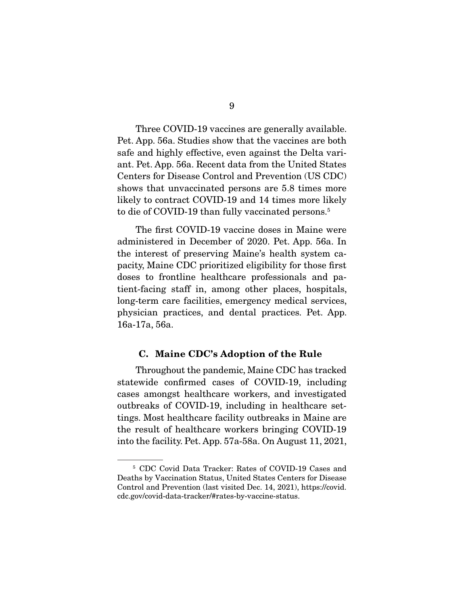Three COVID-19 vaccines are generally available. Pet. App. 56a. Studies show that the vaccines are both safe and highly effective, even against the Delta variant. Pet. App. 56a. Recent data from the United States Centers for Disease Control and Prevention (US CDC) shows that unvaccinated persons are 5.8 times more likely to contract COVID-19 and 14 times more likely to die of COVID-19 than fully vaccinated persons.<sup>5</sup>

 The frst COVID-19 vaccine doses in Maine were administered in December of 2020. Pet. App. 56a. In the interest of preserving Maine's health system capacity, Maine CDC prioritized eligibility for those frst doses to frontline healthcare professionals and patient-facing staff in, among other places, hospitals, long-term care facilities, emergency medical services, physician practices, and dental practices. Pet. App. 16a-17a, 56a.

#### **C. Maine CDC's Adoption of the Rule**

 Throughout the pandemic, Maine CDC has tracked statewide confrmed cases of COVID-19, including cases amongst healthcare workers, and investigated outbreaks of COVID-19, including in healthcare settings. Most healthcare facility outbreaks in Maine are the result of healthcare workers bringing COVID-19 into the facility. Pet. App. 57a-58a. On August 11, 2021,

<sup>5</sup> CDC Covid Data Tracker: Rates of COVID-19 Cases and Deaths by Vaccination Status, United States Centers for Disease Control and Prevention (last visited Dec. 14, 2021), https://covid. cdc.gov/covid-data-tracker/#rates-by-vaccine-status.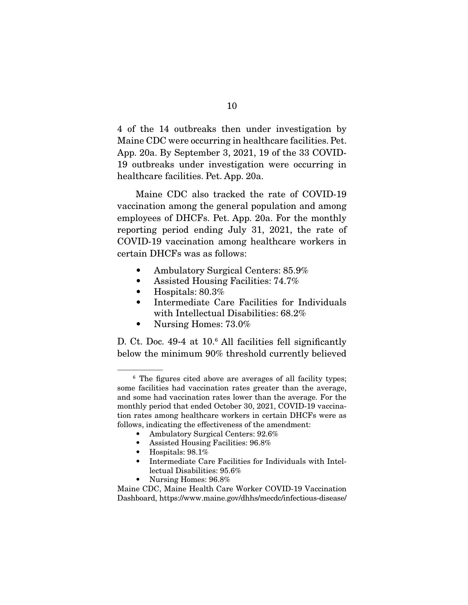4 of the 14 outbreaks then under investigation by Maine CDC were occurring in healthcare facilities. Pet. App. 20a. By September 3, 2021, 19 of the 33 COVID-19 outbreaks under investigation were occurring in healthcare facilities. Pet. App. 20a.

 Maine CDC also tracked the rate of COVID-19 vaccination among the general population and among employees of DHCFs. Pet. App. 20a. For the monthly reporting period ending July 31, 2021, the rate of COVID-19 vaccination among healthcare workers in certain DHCFs was as follows:

- Ambulatory Surgical Centers: 85.9%
- Assisted Housing Facilities:  $74.7\%$
- Hospitals: 80.3%
- Intermediate Care Facilities for Individuals with Intellectual Disabilities: 68.2%
- Nursing Homes:  $73.0\%$

D. Ct. Doc. 49-4 at 10.<sup>6</sup> All facilities fell significantly below the minimum 90% threshold currently believed

- Assisted Housing Facilities: 96.8%
- Hospitals: 98.1%
- Intermediate Care Facilities for Individuals with Intellectual Disabilities: 95.6%
- Nursing Homes: 96.8%

<sup>&</sup>lt;sup>6</sup> The figures cited above are averages of all facility types; some facilities had vaccination rates greater than the average, and some had vaccination rates lower than the average. For the monthly period that ended October 30, 2021, COVID-19 vaccination rates among healthcare workers in certain DHCFs were as follows, indicating the effectiveness of the amendment:

<sup>•</sup> Ambulatory Surgical Centers:  $92.6\%$ 

Maine CDC, Maine Health Care Worker COVID-19 Vaccination Dashboard, https://www.maine.gov/dhhs/mecdc/infectious-disease/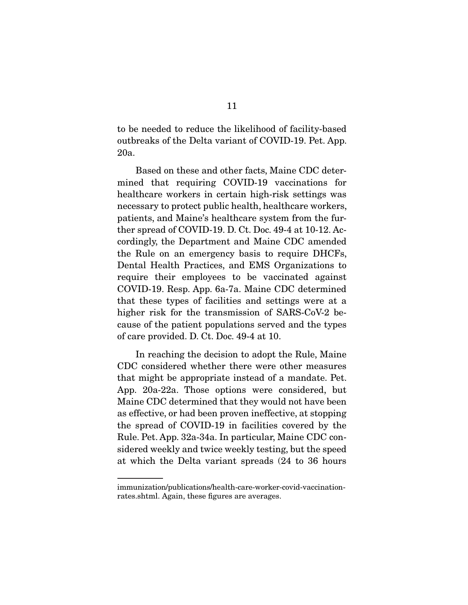to be needed to reduce the likelihood of facility-based outbreaks of the Delta variant of COVID-19. Pet. App. 20a.

 Based on these and other facts, Maine CDC determined that requiring COVID-19 vaccinations for healthcare workers in certain high-risk settings was necessary to protect public health, healthcare workers, patients, and Maine's healthcare system from the further spread of COVID-19. D. Ct. Doc. 49-4 at 10-12. Accordingly, the Department and Maine CDC amended the Rule on an emergency basis to require DHCFs, Dental Health Practices, and EMS Organizations to require their employees to be vaccinated against COVID-19. Resp. App. 6a-7a. Maine CDC determined that these types of facilities and settings were at a higher risk for the transmission of SARS-CoV-2 because of the patient populations served and the types of care provided. D. Ct. Doc. 49-4 at 10.

 In reaching the decision to adopt the Rule, Maine CDC considered whether there were other measures that might be appropriate instead of a mandate. Pet. App. 20a-22a. Those options were considered, but Maine CDC determined that they would not have been as effective, or had been proven ineffective, at stopping the spread of COVID-19 in facilities covered by the Rule. Pet. App. 32a-34a. In particular, Maine CDC considered weekly and twice weekly testing, but the speed at which the Delta variant spreads (24 to 36 hours

immunization/publications/health-care-worker-covid-vaccinationrates.shtml. Again, these fgures are averages.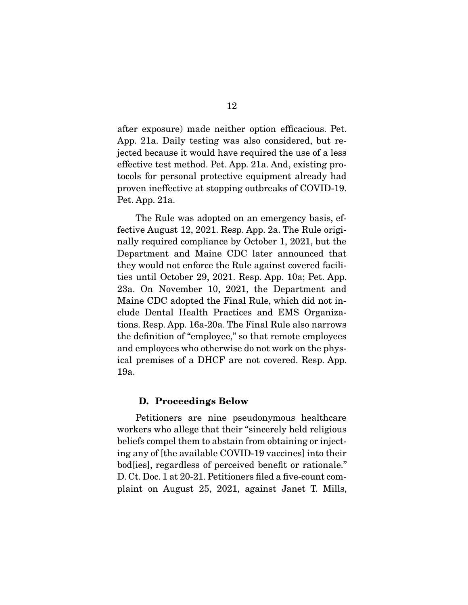after exposure) made neither option effcacious. Pet. App. 21a. Daily testing was also considered, but rejected because it would have required the use of a less effective test method. Pet. App. 21a. And, existing protocols for personal protective equipment already had proven ineffective at stopping outbreaks of COVID-19. Pet. App. 21a.

 The Rule was adopted on an emergency basis, effective August 12, 2021. Resp. App. 2a. The Rule originally required compliance by October 1, 2021, but the Department and Maine CDC later announced that they would not enforce the Rule against covered facilities until October 29, 2021. Resp. App. 10a; Pet. App. 23a. On November 10, 2021, the Department and Maine CDC adopted the Final Rule, which did not include Dental Health Practices and EMS Organizations. Resp. App. 16a-20a. The Final Rule also narrows the defnition of "employee," so that remote employees and employees who otherwise do not work on the physical premises of a DHCF are not covered. Resp. App. 19a.

#### **D. Proceedings Below**

 Petitioners are nine pseudonymous healthcare workers who allege that their "sincerely held religious beliefs compel them to abstain from obtaining or injecting any of [the available COVID-19 vaccines] into their bod[ies], regardless of perceived beneft or rationale." D. Ct. Doc. 1 at 20-21. Petitioners filed a five-count complaint on August 25, 2021, against Janet T. Mills,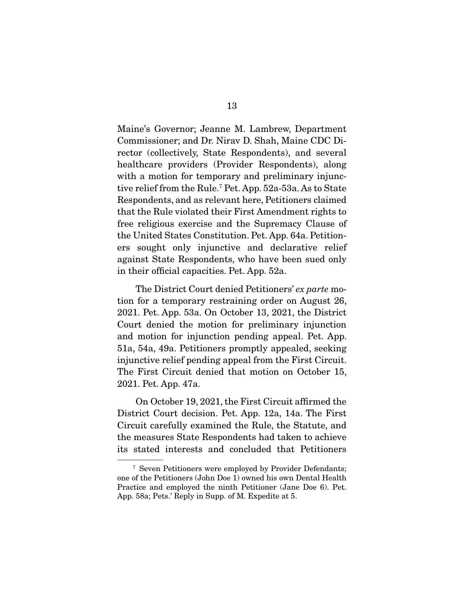Maine's Governor; Jeanne M. Lambrew, Department Commissioner; and Dr. Nirav D. Shah, Maine CDC Director (collectively, State Respondents), and several healthcare providers (Provider Respondents), along with a motion for temporary and preliminary injunctive relief from the Rule.7 Pet. App. 52a-53a. As to State Respondents, and as relevant here, Petitioners claimed that the Rule violated their First Amendment rights to free religious exercise and the Supremacy Clause of the United States Constitution. Pet. App. 64a. Petitioners sought only injunctive and declarative relief against State Respondents, who have been sued only in their official capacities. Pet. App. 52a.

 The District Court denied Petitioners' ex parte motion for a temporary restraining order on August 26, 2021. Pet. App. 53a. On October 13, 2021, the District Court denied the motion for preliminary injunction and motion for injunction pending appeal. Pet. App. 51a, 54a, 49a. Petitioners promptly appealed, seeking injunctive relief pending appeal from the First Circuit. The First Circuit denied that motion on October 15, 2021. Pet. App. 47a.

 On October 19, 2021, the First Circuit affrmed the District Court decision. Pet. App. 12a, 14a. The First Circuit carefully examined the Rule, the Statute, and the measures State Respondents had taken to achieve its stated interests and concluded that Petitioners

<sup>7</sup> Seven Petitioners were employed by Provider Defendants; one of the Petitioners (John Doe 1) owned his own Dental Health Practice and employed the ninth Petitioner (Jane Doe 6). Pet. App. 58a; Pets.' Reply in Supp. of M. Expedite at 5.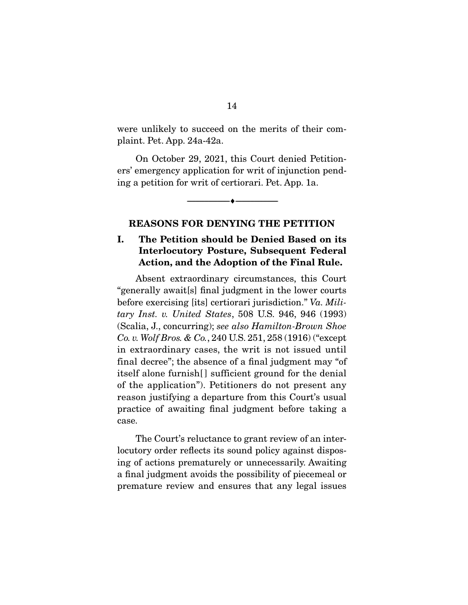were unlikely to succeed on the merits of their complaint. Pet. App. 24a-42a.

 On October 29, 2021, this Court denied Petitioners' emergency application for writ of injunction pending a petition for writ of certiorari. Pet. App. 1a.

### **REASONS FOR DENYING THE PETITION**

--------------------------------- ♦ ---------------------------------

### **I. The Petition should be Denied Based on its Interlocutory Posture, Subsequent Federal Action, and the Adoption of the Final Rule.**

 Absent extraordinary circumstances, this Court "generally await[s] fnal judgment in the lower courts before exercising [its] certiorari jurisdiction." Va. Military Inst. v. United States, 508 U.S. 946, 946 (1993) (Scalia, J., concurring); see also Hamilton-Brown Shoe Co. v. Wolf Bros. & Co., 240 U.S. 251, 258 (1916) ("except in extraordinary cases, the writ is not issued until final decree"; the absence of a fnal judgment may "of itself alone furnish[] sufficient ground for the denial of the application"). Petitioners do not present any reason justifying a departure from this Court's usual practice of awaiting fnal judgment before taking a case.

 The Court's reluctance to grant review of an interlocutory order reflects its sound policy against disposing of actions prematurely or unnecessarily. Awaiting a fnal judgment avoids the possibility of piecemeal or premature review and ensures that any legal issues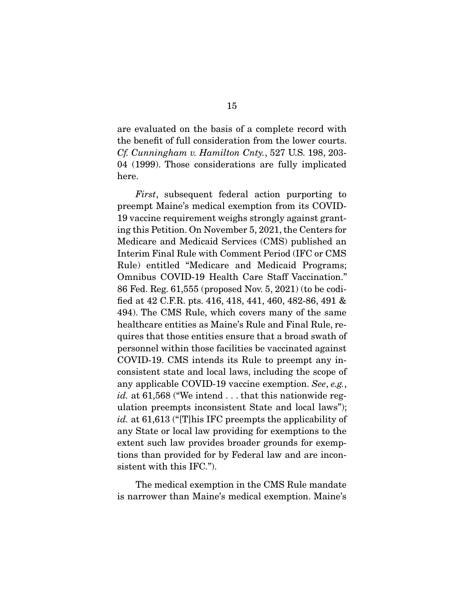are evaluated on the basis of a complete record with the beneft of full consideration from the lower courts. Cf. Cunningham v. Hamilton Cnty., 527 U.S. 198, 203- 04 (1999). Those considerations are fully implicated here.

First, subsequent federal action purporting to preempt Maine's medical exemption from its COVID-19 vaccine requirement weighs strongly against granting this Petition. On November 5, 2021, the Centers for Medicare and Medicaid Services (CMS) published an Interim Final Rule with Comment Period (IFC or CMS Rule) entitled "Medicare and Medicaid Programs; Omnibus COVID-19 Health Care Staff Vaccination." 86 Fed. Reg. 61,555 (proposed Nov. 5, 2021) (to be codifed at 42 C.F.R. pts. 416, 418, 441, 460, 482-86, 491 & 494). The CMS Rule, which covers many of the same healthcare entities as Maine's Rule and Final Rule, requires that those entities ensure that a broad swath of personnel within those facilities be vaccinated against COVID-19. CMS intends its Rule to preempt any inconsistent state and local laws, including the scope of any applicable COVID-19 vaccine exemption. See, e.g., *id.* at  $61,568$  ("We intend  $\ldots$  that this nationwide regulation preempts inconsistent State and local laws"); id. at 61,613 ("[T]his IFC preempts the applicability of any State or local law providing for exemptions to the extent such law provides broader grounds for exemptions than provided for by Federal law and are inconsistent with this IFC.").

 The medical exemption in the CMS Rule mandate is narrower than Maine's medical exemption. Maine's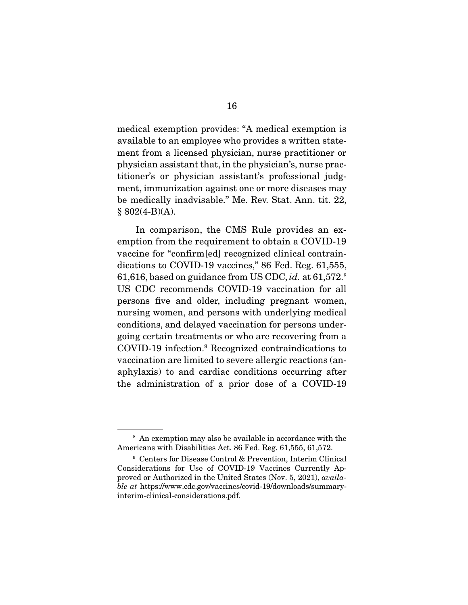medical exemption provides: "A medical exemption is available to an employee who provides a written statement from a licensed physician, nurse practitioner or physician assistant that, in the physician's, nurse practitioner's or physician assistant's professional judgment, immunization against one or more diseases may be medically inadvisable." Me. Rev. Stat. Ann. tit. 22,  $§ 802(4-B)(A).$ 

 In comparison, the CMS Rule provides an exemption from the requirement to obtain a COVID-19 vaccine for "confirm[ed] recognized clinical contraindications to COVID-19 vaccines," 86 Fed. Reg. 61,555, 61,616, based on guidance from US CDC, id. at 61,572.8 US CDC recommends COVID-19 vaccination for all persons fve and older, including pregnant women, nursing women, and persons with underlying medical conditions, and delayed vaccination for persons undergoing certain treatments or who are recovering from a COVID-19 infection.9 Recognized contraindications to vaccination are limited to severe allergic reactions (anaphylaxis) to and cardiac conditions occurring after the administration of a prior dose of a COVID-19

<sup>8</sup> An exemption may also be available in accordance with the Americans with Disabilities Act. 86 Fed. Reg. 61,555, 61,572.

<sup>9</sup> Centers for Disease Control & Prevention, Interim Clinical Considerations for Use of COVID-19 Vaccines Currently Approved or Authorized in the United States (Nov. 5, 2021), available at https://www.cdc.gov/vaccines/covid-19/downloads/summaryinterim-clinical-considerations.pdf.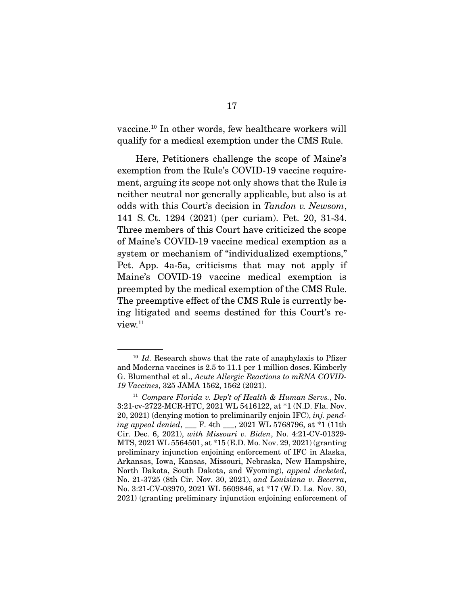vaccine.10 In other words, few healthcare workers will qualify for a medical exemption under the CMS Rule.

 Here, Petitioners challenge the scope of Maine's exemption from the Rule's COVID-19 vaccine requirement, arguing its scope not only shows that the Rule is neither neutral nor generally applicable, but also is at odds with this Court's decision in Tandon v. Newsom, 141 S. Ct. 1294 (2021) (per curiam). Pet. 20, 31-34. Three members of this Court have criticized the scope of Maine's COVID-19 vaccine medical exemption as a system or mechanism of "individualized exemptions," Pet. App. 4a-5a, criticisms that may not apply if Maine's COVID-19 vaccine medical exemption is preempted by the medical exemption of the CMS Rule. The preemptive effect of the CMS Rule is currently being litigated and seems destined for this Court's review.<sup>11</sup>

 $10$  Id. Research shows that the rate of anaphylaxis to Pfizer and Moderna vaccines is 2.5 to 11.1 per 1 million doses. Kimberly G. Blumenthal et al., Acute Allergic Reactions to mRNA COVID-19 Vaccines, 325 JAMA 1562, 1562 (2021).

<sup>&</sup>lt;sup>11</sup> Compare Florida v. Dep't of Health & Human Servs., No. 3:21-cv-2722-MCR-HTC, 2021 WL 5416122, at \*1 (N.D. Fla. Nov. 20, 2021) (denying motion to preliminarily enjoin IFC), inj. pending appeal denied, \_\_\_ F. 4th \_\_\_, 2021 WL 5768796, at \*1 (11th Cir. Dec. 6, 2021), with Missouri v. Biden, No. 4:21-CV-01329- MTS, 2021 WL 5564501, at \*15 (E.D. Mo. Nov. 29, 2021) (granting preliminary injunction enjoining enforcement of IFC in Alaska, Arkansas, Iowa, Kansas, Missouri, Nebraska, New Hampshire, North Dakota, South Dakota, and Wyoming), appeal docketed, No. 21-3725 (8th Cir. Nov. 30, 2021), and Louisiana v. Becerra, No. 3:21-CV-03970, 2021 WL 5609846, at \*17 (W.D. La. Nov. 30, 2021) (granting preliminary injunction enjoining enforcement of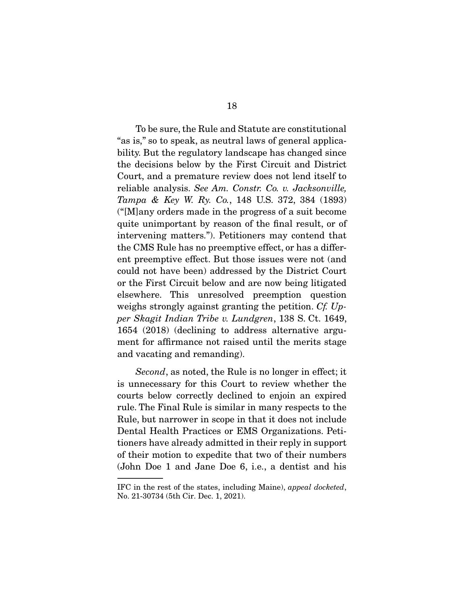To be sure, the Rule and Statute are constitutional "as is," so to speak, as neutral laws of general applicability. But the regulatory landscape has changed since the decisions below by the First Circuit and District Court, and a premature review does not lend itself to reliable analysis. See Am. Constr. Co. v. Jacksonville, Tampa & Key W. Ry. Co., 148 U.S. 372, 384 (1893) ("[M]any orders made in the progress of a suit become quite unimportant by reason of the fnal result, or of intervening matters."). Petitioners may contend that the CMS Rule has no preemptive effect, or has a different preemptive effect. But those issues were not (and could not have been) addressed by the District Court or the First Circuit below and are now being litigated elsewhere. This unresolved preemption question weighs strongly against granting the petition. Cf. Upper Skagit Indian Tribe v. Lundgren, 138 S. Ct. 1649, 1654 (2018) (declining to address alternative argument for affrmance not raised until the merits stage and vacating and remanding).

Second, as noted, the Rule is no longer in effect; it is unnecessary for this Court to review whether the courts below correctly declined to enjoin an expired rule. The Final Rule is similar in many respects to the Rule, but narrower in scope in that it does not include Dental Health Practices or EMS Organizations. Petitioners have already admitted in their reply in support of their motion to expedite that two of their numbers (John Doe 1 and Jane Doe 6, i.e., a dentist and his

IFC in the rest of the states, including Maine), appeal docketed, No. 21-30734 (5th Cir. Dec. 1, 2021).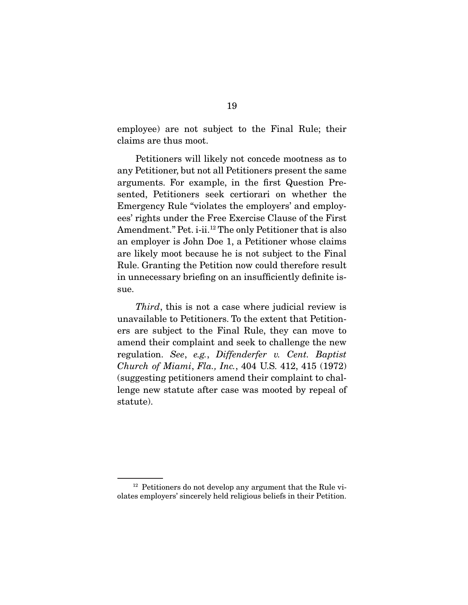employee) are not subject to the Final Rule; their claims are thus moot.

 Petitioners will likely not concede mootness as to any Petitioner, but not all Petitioners present the same arguments. For example, in the frst Question Presented, Petitioners seek certiorari on whether the Emergency Rule "violates the employers' and employees' rights under the Free Exercise Clause of the First Amendment." Pet. i-ii.<sup>12</sup> The only Petitioner that is also an employer is John Doe 1, a Petitioner whose claims are likely moot because he is not subject to the Final Rule. Granting the Petition now could therefore result in unnecessary briefng on an insuffciently defnite issue.

Third, this is not a case where judicial review is unavailable to Petitioners. To the extent that Petitioners are subject to the Final Rule, they can move to amend their complaint and seek to challenge the new regulation. See, e.g., Diffenderfer v. Cent. Baptist Church of Miami, Fla., Inc., 404 U.S. 412, 415 (1972) (suggesting petitioners amend their complaint to challenge new statute after case was mooted by repeal of statute).

<sup>&</sup>lt;sup>12</sup> Petitioners do not develop any argument that the Rule violates employers' sincerely held religious beliefs in their Petition.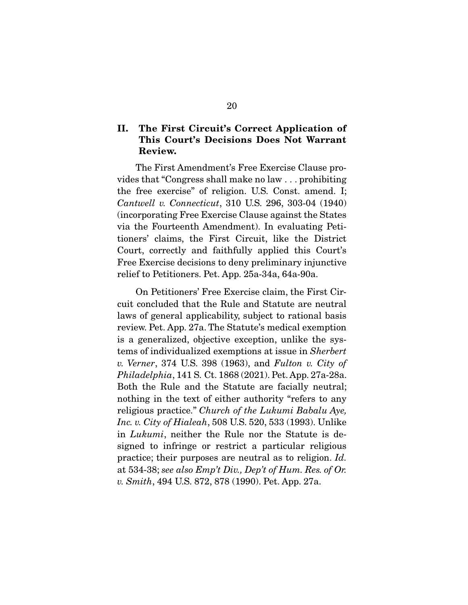### **II. The First Circuit's Correct Application of This Court's Decisions Does Not Warrant Review.**

 The First Amendment's Free Exercise Clause provides that "Congress shall make no law . . . prohibiting the free exercise" of religion. U.S. Const. amend. I; Cantwell v. Connecticut, 310 U.S. 296, 303-04 (1940) (incorporating Free Exercise Clause against the States via the Fourteenth Amendment). In evaluating Petitioners' claims, the First Circuit, like the District Court, correctly and faithfully applied this Court's Free Exercise decisions to deny preliminary injunctive relief to Petitioners. Pet. App. 25a-34a, 64a-90a.

 On Petitioners' Free Exercise claim, the First Circuit concluded that the Rule and Statute are neutral laws of general applicability, subject to rational basis review. Pet. App. 27a. The Statute's medical exemption is a generalized, objective exception, unlike the systems of individualized exemptions at issue in Sherbert v. Verner, 374 U.S. 398 (1963), and Fulton v. City of Philadelphia, 141 S. Ct. 1868 (2021). Pet. App. 27a-28a. Both the Rule and the Statute are facially neutral; nothing in the text of either authority "refers to any religious practice." Church of the Lukumi Babalu Aye, Inc. v. City of Hialeah, 508 U.S. 520, 533 (1993). Unlike in Lukumi, neither the Rule nor the Statute is designed to infringe or restrict a particular religious practice; their purposes are neutral as to religion. Id. at 534-38; see also Emp't Div., Dep't of Hum. Res. of Or. v. Smith, 494 U.S. 872, 878 (1990). Pet. App. 27a.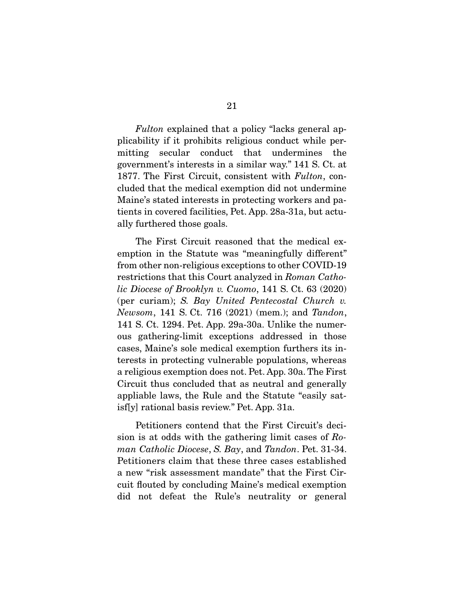Fulton explained that a policy "lacks general applicability if it prohibits religious conduct while permitting secular conduct that undermines the government's interests in a similar way." 141 S. Ct. at 1877. The First Circuit, consistent with Fulton, concluded that the medical exemption did not undermine Maine's stated interests in protecting workers and patients in covered facilities, Pet. App. 28a-31a, but actually furthered those goals.

 The First Circuit reasoned that the medical exemption in the Statute was "meaningfully different" from other non-religious exceptions to other COVID-19 restrictions that this Court analyzed in Roman Catholic Diocese of Brooklyn v. Cuomo, 141 S. Ct. 63 (2020) (per curiam); S. Bay United Pentecostal Church v. Newsom, 141 S. Ct. 716 (2021) (mem.); and Tandon, 141 S. Ct. 1294. Pet. App. 29a-30a. Unlike the numerous gathering-limit exceptions addressed in those cases, Maine's sole medical exemption furthers its interests in protecting vulnerable populations, whereas a religious exemption does not. Pet. App. 30a. The First Circuit thus concluded that as neutral and generally appliable laws, the Rule and the Statute "easily satisf[y] rational basis review." Pet. App. 31a.

 Petitioners contend that the First Circuit's decision is at odds with the gathering limit cases of Roman Catholic Diocese, S. Bay, and Tandon. Pet. 31-34. Petitioners claim that these three cases established a new "risk assessment mandate" that the First Circuit fouted by concluding Maine's medical exemption did not defeat the Rule's neutrality or general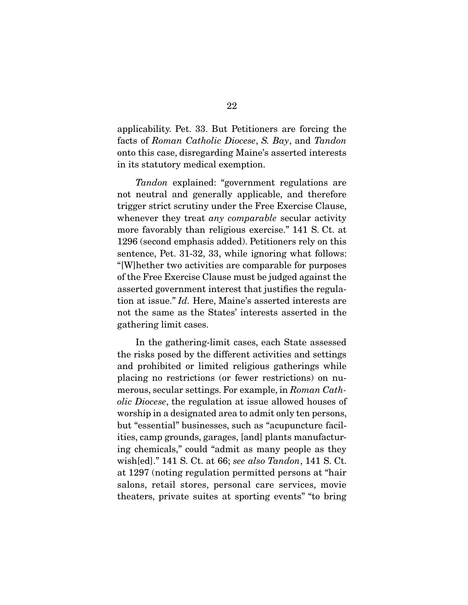applicability. Pet. 33. But Petitioners are forcing the facts of Roman Catholic Diocese, S. Bay, and Tandon onto this case, disregarding Maine's asserted interests in its statutory medical exemption.

Tandon explained: "government regulations are not neutral and generally applicable, and therefore trigger strict scrutiny under the Free Exercise Clause, whenever they treat *any comparable* secular activity more favorably than religious exercise." 141 S. Ct. at 1296 (second emphasis added). Petitioners rely on this sentence, Pet. 31-32, 33, while ignoring what follows: "[W]hether two activities are comparable for purposes of the Free Exercise Clause must be judged against the asserted government interest that justifes the regulation at issue." Id. Here, Maine's asserted interests are not the same as the States' interests asserted in the gathering limit cases.

 In the gathering-limit cases, each State assessed the risks posed by the different activities and settings and prohibited or limited religious gatherings while placing no restrictions (or fewer restrictions) on numerous, secular settings. For example, in Roman Catholic Diocese, the regulation at issue allowed houses of worship in a designated area to admit only ten persons, but "essential" businesses, such as "acupuncture facilities, camp grounds, garages, [and] plants manufacturing chemicals," could "admit as many people as they wish[ed]." 141 S. Ct. at 66; see also Tandon, 141 S. Ct. at 1297 (noting regulation permitted persons at "hair salons, retail stores, personal care services, movie theaters, private suites at sporting events" "to bring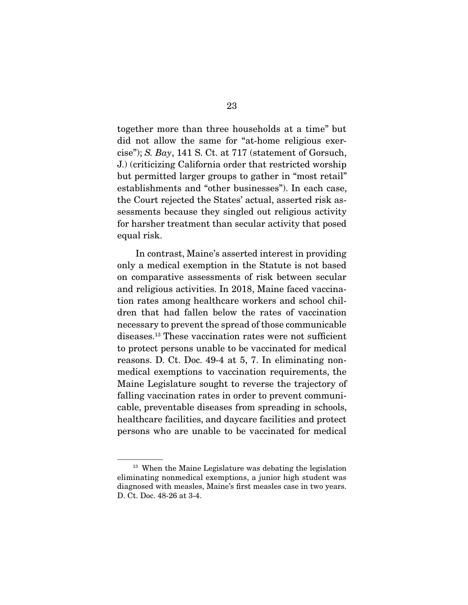together more than three households at a time" but did not allow the same for "at-home religious exercise"); S. Bay, 141 S. Ct. at 717 (statement of Gorsuch, J.) (criticizing California order that restricted worship but permitted larger groups to gather in "most retail" establishments and "other businesses"). In each case, the Court rejected the States' actual, asserted risk assessments because they singled out religious activity for harsher treatment than secular activity that posed equal risk.

 In contrast, Maine's asserted interest in providing only a medical exemption in the Statute is not based on comparative assessments of risk between secular and religious activities. In 2018, Maine faced vaccination rates among healthcare workers and school children that had fallen below the rates of vaccination necessary to prevent the spread of those communicable diseases.<sup>13</sup> These vaccination rates were not sufficient to protect persons unable to be vaccinated for medical reasons. D. Ct. Doc. 49-4 at 5, 7. In eliminating nonmedical exemptions to vaccination requirements, the Maine Legislature sought to reverse the trajectory of falling vaccination rates in order to prevent communicable, preventable diseases from spreading in schools, healthcare facilities, and daycare facilities and protect persons who are unable to be vaccinated for medical

<sup>&</sup>lt;sup>13</sup> When the Maine Legislature was debating the legislation eliminating nonmedical exemptions, a junior high student was diagnosed with measles, Maine's frst measles case in two years. D. Ct. Doc. 48-26 at 3-4.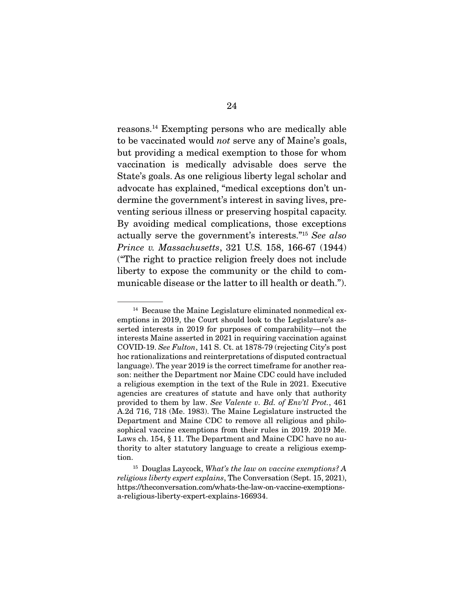reasons.14 Exempting persons who are medically able to be vaccinated would not serve any of Maine's goals, but providing a medical exemption to those for whom vaccination is medically advisable does serve the State's goals. As one religious liberty legal scholar and advocate has explained, "medical exceptions don't undermine the government's interest in saving lives, preventing serious illness or preserving hospital capacity. By avoiding medical complications, those exceptions actually serve the government's interests."15 See also Prince v. Massachusetts, 321 U.S. 158, 166-67 (1944) ("The right to practice religion freely does not include liberty to expose the community or the child to communicable disease or the latter to ill health or death.").

<sup>&</sup>lt;sup>14</sup> Because the Maine Legislature eliminated nonmedical exemptions in 2019, the Court should look to the Legislature's asserted interests in 2019 for purposes of comparability—not the interests Maine asserted in 2021 in requiring vaccination against COVID-19. See Fulton, 141 S. Ct. at 1878-79 (rejecting City's post hoc rationalizations and reinterpretations of disputed contractual language). The year 2019 is the correct timeframe for another reason: neither the Department nor Maine CDC could have included a religious exemption in the text of the Rule in 2021. Executive agencies are creatures of statute and have only that authority provided to them by law. See Valente v. Bd. of Env'tl Prot., 461 A.2d 716, 718 (Me. 1983). The Maine Legislature instructed the Department and Maine CDC to remove all religious and philosophical vaccine exemptions from their rules in 2019. 2019 Me. Laws ch. 154, § 11. The Department and Maine CDC have no authority to alter statutory language to create a religious exemption.

 $15$  Douglas Laycock, What's the law on vaccine exemptions? A religious liberty expert explains, The Conversation (Sept. 15, 2021), https://theconversation.com/whats-the-law-on-vaccine-exemptionsa-religious-liberty-expert-explains-166934.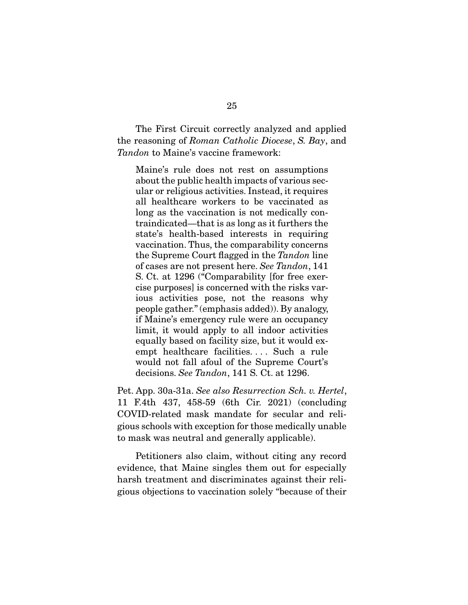The First Circuit correctly analyzed and applied the reasoning of Roman Catholic Diocese, S. Bay, and Tandon to Maine's vaccine framework:

Maine's rule does not rest on assumptions about the public health impacts of various secular or religious activities. Instead, it requires all healthcare workers to be vaccinated as long as the vaccination is not medically contraindicated—that is as long as it furthers the state's health-based interests in requiring vaccination. Thus, the comparability concerns the Supreme Court fagged in the Tandon line of cases are not present here. See Tandon, 141 S. Ct. at 1296 ("Comparability [for free exercise purposes] is concerned with the risks various activities pose, not the reasons why people gather." (emphasis added)). By analogy, if Maine's emergency rule were an occupancy limit, it would apply to all indoor activities equally based on facility size, but it would exempt healthcare facilities. . . . Such a rule would not fall afoul of the Supreme Court's decisions. See Tandon, 141 S. Ct. at 1296.

Pet. App. 30a-31a. See also Resurrection Sch. v. Hertel, 11 F.4th 437, 458-59 (6th Cir. 2021) (concluding COVID-related mask mandate for secular and religious schools with exception for those medically unable to mask was neutral and generally applicable).

 Petitioners also claim, without citing any record evidence, that Maine singles them out for especially harsh treatment and discriminates against their religious objections to vaccination solely "because of their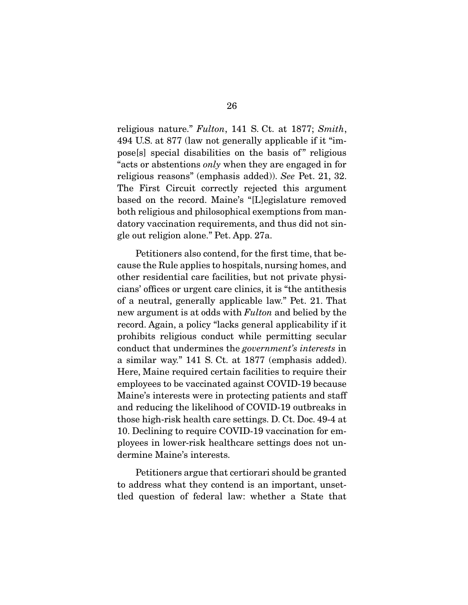religious nature." Fulton, 141 S. Ct. at 1877; Smith, 494 U.S. at 877 (law not generally applicable if it "impose[s] special disabilities on the basis of " religious "acts or abstentions only when they are engaged in for religious reasons" (emphasis added)). See Pet. 21, 32. The First Circuit correctly rejected this argument based on the record. Maine's "[L]egislature removed both religious and philosophical exemptions from mandatory vaccination requirements, and thus did not single out religion alone." Pet. App. 27a.

 Petitioners also contend, for the frst time, that because the Rule applies to hospitals, nursing homes, and other residential care facilities, but not private physicians' offices or urgent care clinics, it is "the antithesis" of a neutral, generally applicable law." Pet. 21. That new argument is at odds with Fulton and belied by the record. Again, a policy "lacks general applicability if it prohibits religious conduct while permitting secular conduct that undermines the government's interests in a similar way." 141 S. Ct. at 1877 (emphasis added). Here, Maine required certain facilities to require their employees to be vaccinated against COVID-19 because Maine's interests were in protecting patients and staff and reducing the likelihood of COVID-19 outbreaks in those high-risk health care settings. D. Ct. Doc. 49-4 at 10. Declining to require COVID-19 vaccination for employees in lower-risk healthcare settings does not undermine Maine's interests.

 Petitioners argue that certiorari should be granted to address what they contend is an important, unsettled question of federal law: whether a State that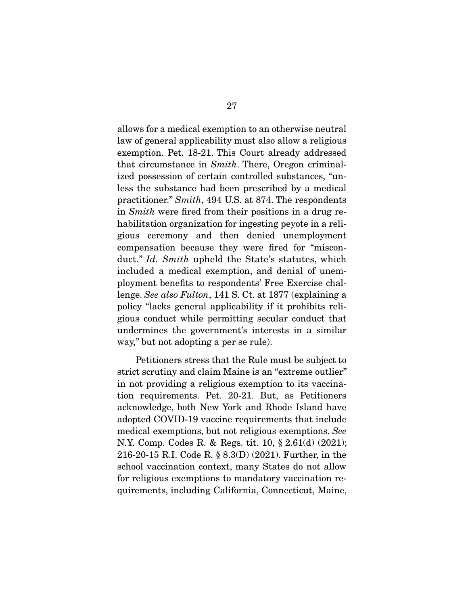allows for a medical exemption to an otherwise neutral law of general applicability must also allow a religious exemption. Pet. 18-21. This Court already addressed that circumstance in Smith. There, Oregon criminalized possession of certain controlled substances, "unless the substance had been prescribed by a medical practitioner." Smith, 494 U.S. at 874. The respondents in Smith were fred from their positions in a drug rehabilitation organization for ingesting peyote in a religious ceremony and then denied unemployment compensation because they were fred for "misconduct." Id. Smith upheld the State's statutes, which included a medical exemption, and denial of unemployment benefts to respondents' Free Exercise challenge. See also Fulton, 141 S. Ct. at 1877 (explaining a policy "lacks general applicability if it prohibits religious conduct while permitting secular conduct that undermines the government's interests in a similar way," but not adopting a per se rule).

 Petitioners stress that the Rule must be subject to strict scrutiny and claim Maine is an "extreme outlier" in not providing a religious exemption to its vaccination requirements. Pet. 20-21. But, as Petitioners acknowledge, both New York and Rhode Island have adopted COVID-19 vaccine requirements that include medical exemptions, but not religious exemptions. See N.Y. Comp. Codes R. & Regs. tit. 10, § 2.61(d) (2021); 216-20-15 R.I. Code R. § 8.3(D) (2021). Further, in the school vaccination context, many States do not allow for religious exemptions to mandatory vaccination requirements, including California, Connecticut, Maine,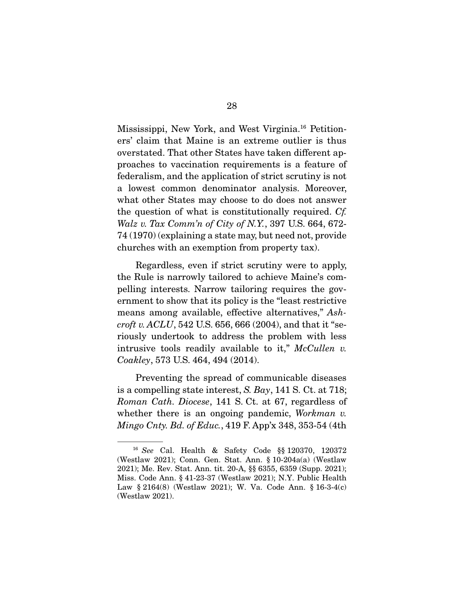Mississippi, New York, and West Virginia.16 Petitioners' claim that Maine is an extreme outlier is thus overstated. That other States have taken different approaches to vaccination requirements is a feature of federalism, and the application of strict scrutiny is not a lowest common denominator analysis. Moreover, what other States may choose to do does not answer the question of what is constitutionally required. Cf. Walz v. Tax Comm'n of City of N.Y., 397 U.S. 664, 672- 74 (1970) (explaining a state may, but need not, provide churches with an exemption from property tax).

 Regardless, even if strict scrutiny were to apply, the Rule is narrowly tailored to achieve Maine's compelling interests. Narrow tailoring requires the government to show that its policy is the "least restrictive means among available, effective alternatives," Ashcroft v.  $ACLU$ , 542 U.S. 656, 666 (2004), and that it "seriously undertook to address the problem with less intrusive tools readily available to it,"  $McCullen$  v. Coakley, 573 U.S. 464, 494 (2014).

 Preventing the spread of communicable diseases is a compelling state interest, S. Bay, 141 S. Ct. at 718; Roman Cath. Diocese, 141 S. Ct. at 67, regardless of whether there is an ongoing pandemic, Workman  $v$ . *Mingo Cnty. Bd. of Educ.*, 419 F. App'x 348, 353-54 (4th

<sup>16</sup> See Cal. Health & Safety Code §§ 120370, 120372 (Westlaw 2021); Conn. Gen. Stat. Ann. § 10-204a(a) (Westlaw 2021); Me. Rev. Stat. Ann. tit. 20-A, §§ 6355, 6359 (Supp. 2021); Miss. Code Ann. § 41-23-37 (Westlaw 2021); N.Y. Public Health Law § 2164(8) (Westlaw 2021); W. Va. Code Ann. § 16-3-4(c) (Westlaw 2021).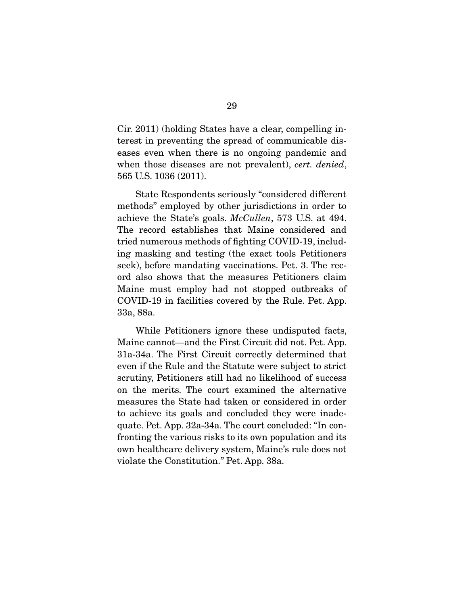Cir. 2011) (holding States have a clear, compelling interest in preventing the spread of communicable diseases even when there is no ongoing pandemic and when those diseases are not prevalent), cert. denied, 565 U.S. 1036 (2011).

 State Respondents seriously "considered different methods" employed by other jurisdictions in order to achieve the State's goals. McCullen, 573 U.S. at 494. The record establishes that Maine considered and tried numerous methods of fghting COVID-19, including masking and testing (the exact tools Petitioners seek), before mandating vaccinations. Pet. 3. The record also shows that the measures Petitioners claim Maine must employ had not stopped outbreaks of COVID-19 in facilities covered by the Rule. Pet. App. 33a, 88a.

 While Petitioners ignore these undisputed facts, Maine cannot—and the First Circuit did not. Pet. App. 31a-34a. The First Circuit correctly determined that even if the Rule and the Statute were subject to strict scrutiny, Petitioners still had no likelihood of success on the merits. The court examined the alternative measures the State had taken or considered in order to achieve its goals and concluded they were inadequate. Pet. App. 32a-34a. The court concluded: "In confronting the various risks to its own population and its own healthcare delivery system, Maine's rule does not violate the Constitution." Pet. App. 38a.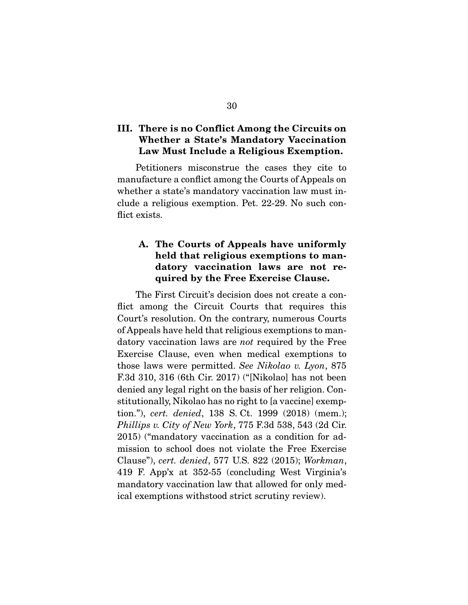## **III. There is no Conflict Among the Circuits on Whether a State's Mandatory Vaccination Law Must Include a Religious Exemption.**

 Petitioners misconstrue the cases they cite to manufacture a confict among the Courts of Appeals on whether a state's mandatory vaccination law must include a religious exemption. Pet. 22-29. No such conflict exists.

# **A. The Courts of Appeals have uniformly held that religious exemptions to mandatory vaccination laws are not required by the Free Exercise Clause.**

 The First Circuit's decision does not create a confict among the Circuit Courts that requires this Court's resolution. On the contrary, numerous Courts of Appeals have held that religious exemptions to mandatory vaccination laws are not required by the Free Exercise Clause, even when medical exemptions to those laws were permitted. See Nikolao v. Lyon, 875 F.3d 310, 316 (6th Cir. 2017) ("[Nikolao] has not been denied any legal right on the basis of her religion. Constitutionally, Nikolao has no right to [a vaccine] exemption."), cert. denied, 138 S. Ct. 1999 (2018) (mem.); Phillips v. City of New York, 775 F.3d 538, 543 (2d Cir. 2015) ("mandatory vaccination as a condition for admission to school does not violate the Free Exercise Clause"), cert. denied, 577 U.S. 822 (2015); Workman, 419 F. App'x at 352-55 (concluding West Virginia's mandatory vaccination law that allowed for only medical exemptions withstood strict scrutiny review).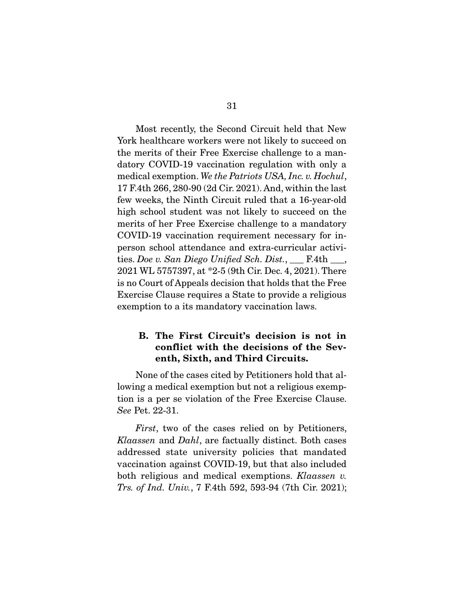Most recently, the Second Circuit held that New York healthcare workers were not likely to succeed on the merits of their Free Exercise challenge to a mandatory COVID-19 vaccination regulation with only a medical exemption. We the Patriots USA, Inc. v. Hochul, 17 F.4th 266, 280-90 (2d Cir. 2021). And, within the last few weeks, the Ninth Circuit ruled that a 16-year-old high school student was not likely to succeed on the merits of her Free Exercise challenge to a mandatory COVID-19 vaccination requirement necessary for inperson school attendance and extra-curricular activities. Doe v. San Diego Unified Sch. Dist., \_\_\_ F.4th \_\_\_, 2021 WL 5757397, at \*2-5 (9th Cir. Dec. 4, 2021). There is no Court of Appeals decision that holds that the Free Exercise Clause requires a State to provide a religious exemption to a its mandatory vaccination laws.

## **B. The First Circuit's decision is not in conflict with the decisions of the Seventh, Sixth, and Third Circuits.**

 None of the cases cited by Petitioners hold that allowing a medical exemption but not a religious exemption is a per se violation of the Free Exercise Clause. See Pet. 22-31.

First, two of the cases relied on by Petitioners, Klaassen and Dahl, are factually distinct. Both cases addressed state university policies that mandated vaccination against COVID-19, but that also included both religious and medical exemptions. Klaassen v. Trs. of Ind. Univ., 7 F.4th 592, 593-94 (7th Cir. 2021);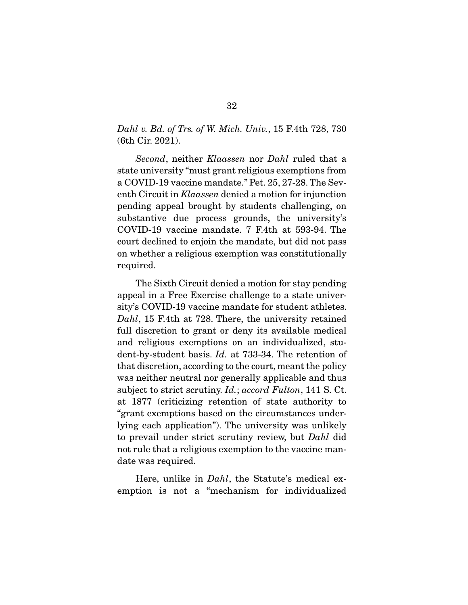Dahl v. Bd. of Trs. of W. Mich. Univ., 15 F.4th 728, 730 (6th Cir. 2021).

Second, neither Klaassen nor Dahl ruled that a state university "must grant religious exemptions from a COVID-19 vaccine mandate." Pet. 25, 27-28. The Seventh Circuit in Klaassen denied a motion for injunction pending appeal brought by students challenging, on substantive due process grounds, the university's COVID-19 vaccine mandate. 7 F.4th at 593-94. The court declined to enjoin the mandate, but did not pass on whether a religious exemption was constitutionally required.

 The Sixth Circuit denied a motion for stay pending appeal in a Free Exercise challenge to a state university's COVID-19 vaccine mandate for student athletes. Dahl, 15 F.4th at 728. There, the university retained full discretion to grant or deny its available medical and religious exemptions on an individualized, student-by-student basis. Id. at 733-34. The retention of that discretion, according to the court, meant the policy was neither neutral nor generally applicable and thus subject to strict scrutiny. *Id.*; accord Fulton, 141 S. Ct. at 1877 (criticizing retention of state authority to "grant exemptions based on the circumstances underlying each application"). The university was unlikely to prevail under strict scrutiny review, but Dahl did not rule that a religious exemption to the vaccine mandate was required.

Here, unlike in *Dahl*, the Statute's medical exemption is not a "mechanism for individualized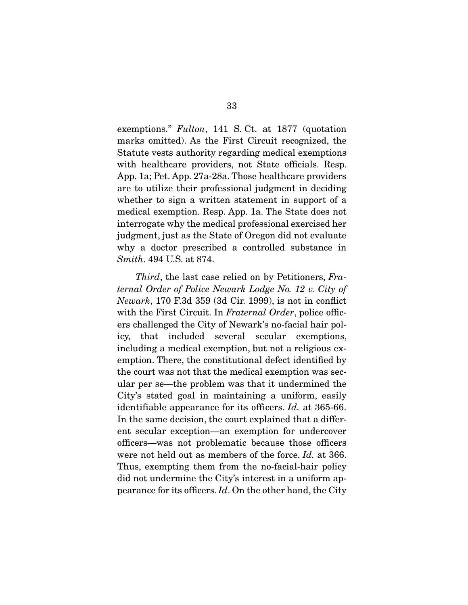exemptions." Fulton, 141 S. Ct. at 1877 (quotation marks omitted). As the First Circuit recognized, the Statute vests authority regarding medical exemptions with healthcare providers, not State officials. Resp. App. 1a; Pet. App. 27a-28a. Those healthcare providers are to utilize their professional judgment in deciding whether to sign a written statement in support of a medical exemption. Resp. App. 1a. The State does not interrogate why the medical professional exercised her judgment, just as the State of Oregon did not evaluate why a doctor prescribed a controlled substance in Smith. 494 U.S. at 874.

Third, the last case relied on by Petitioners, Fraternal Order of Police Newark Lodge No. 12 v. City of Newark, 170 F.3d 359 (3d Cir. 1999), is not in confict with the First Circuit. In Fraternal Order, police officers challenged the City of Newark's no-facial hair policy, that included several secular exemptions, including a medical exemption, but not a religious exemption. There, the constitutional defect identifed by the court was not that the medical exemption was secular per se—the problem was that it undermined the City's stated goal in maintaining a uniform, easily identifiable appearance for its officers. *Id.* at 365-66. In the same decision, the court explained that a different secular exception—an exemption for undercover officers—was not problematic because those officers were not held out as members of the force. Id. at 366. Thus, exempting them from the no-facial-hair policy did not undermine the City's interest in a uniform appearance for its officers.  $Id$ . On the other hand, the City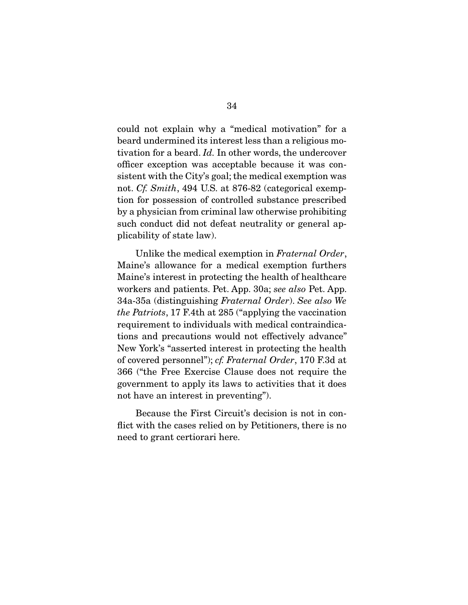could not explain why a "medical motivation" for a beard undermined its interest less than a religious motivation for a beard. Id. In other words, the undercover officer exception was acceptable because it was consistent with the City's goal; the medical exemption was not. Cf. Smith, 494 U.S. at 876-82 (categorical exemption for possession of controlled substance prescribed by a physician from criminal law otherwise prohibiting such conduct did not defeat neutrality or general applicability of state law).

Unlike the medical exemption in Fraternal Order, Maine's allowance for a medical exemption furthers Maine's interest in protecting the health of healthcare workers and patients. Pet. App. 30a; see also Pet. App. 34a-35a (distinguishing Fraternal Order). See also We the Patriots, 17 F.4th at 285 ("applying the vaccination requirement to individuals with medical contraindications and precautions would not effectively advance" New York's "asserted interest in protecting the health of covered personnel"); cf. Fraternal Order, 170 F.3d at 366 ("the Free Exercise Clause does not require the government to apply its laws to activities that it does not have an interest in preventing").

 Because the First Circuit's decision is not in confict with the cases relied on by Petitioners, there is no need to grant certiorari here.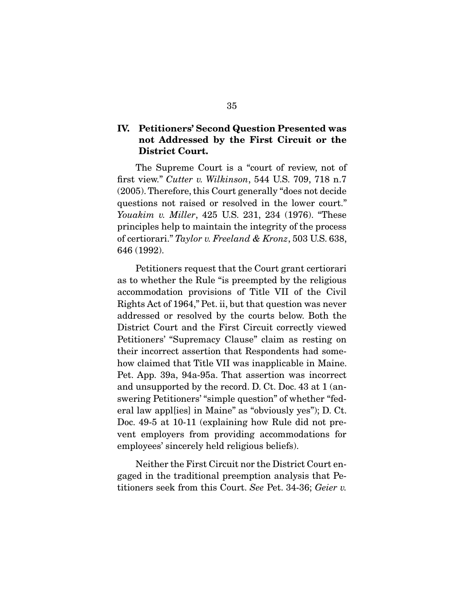## **IV. Petitioners' Second Question Presented was not Addressed by the First Circuit or the District Court.**

 The Supreme Court is a "court of review, not of frst view." Cutter v. Wilkinson, 544 U.S. 709, 718 n.7 (2005). Therefore, this Court generally "does not decide questions not raised or resolved in the lower court." Youakim v. Miller, 425 U.S. 231, 234 (1976). "These principles help to maintain the integrity of the process of certiorari." Taylor v. Freeland & Kronz, 503 U.S. 638, 646 (1992).

 Petitioners request that the Court grant certiorari as to whether the Rule "is preempted by the religious accommodation provisions of Title VII of the Civil Rights Act of 1964," Pet. ii, but that question was never addressed or resolved by the courts below. Both the District Court and the First Circuit correctly viewed Petitioners' "Supremacy Clause" claim as resting on their incorrect assertion that Respondents had somehow claimed that Title VII was inapplicable in Maine. Pet. App. 39a, 94a-95a. That assertion was incorrect and unsupported by the record. D. Ct. Doc. 43 at 1 (answering Petitioners' "simple question" of whether "federal law appl[ies] in Maine" as "obviously yes"); D. Ct. Doc. 49-5 at 10-11 (explaining how Rule did not prevent employers from providing accommodations for employees' sincerely held religious beliefs).

 Neither the First Circuit nor the District Court engaged in the traditional preemption analysis that Petitioners seek from this Court. See Pet. 34-36; Geier v.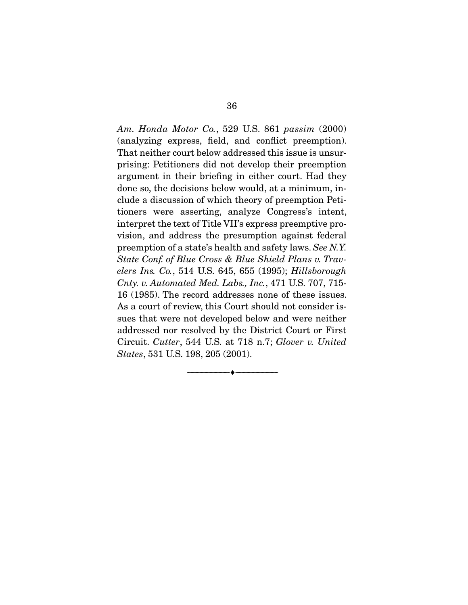Am. Honda Motor Co., 529 U.S. 861 passim (2000) (analyzing express, feld, and confict preemption). That neither court below addressed this issue is unsurprising: Petitioners did not develop their preemption argument in their briefng in either court. Had they done so, the decisions below would, at a minimum, include a discussion of which theory of preemption Petitioners were asserting, analyze Congress's intent, interpret the text of Title VII's express preemptive provision, and address the presumption against federal preemption of a state's health and safety laws. See N.Y. State Conf. of Blue Cross & Blue Shield Plans v. Travelers Ins. Co., 514 U.S. 645, 655 (1995); Hillsborough Cnty. v. Automated Med. Labs., Inc., 471 U.S. 707, 715- 16 (1985). The record addresses none of these issues. As a court of review, this Court should not consider issues that were not developed below and were neither addressed nor resolved by the District Court or First Circuit. Cutter, 544 U.S. at 718 n.7; Glover v. United States, 531 U.S. 198, 205 (2001).

--------------------------------- ♦ ---------------------------------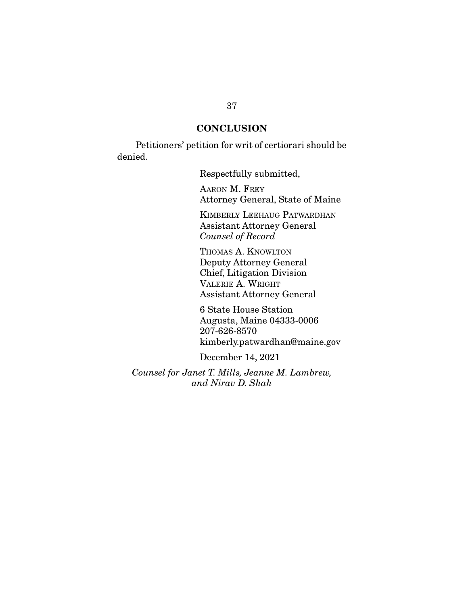## **CONCLUSION**

 Petitioners' petition for writ of certiorari should be denied.

Respectfully submitted,

AARON M. FREY Attorney General, State of Maine

KIMBERLY LEEHAUG PATWARDHAN Assistant Attorney General Counsel of Record

THOMAS A. KNOWLTON Deputy Attorney General Chief, Litigation Division VALERIE A. WRIGHT Assistant Attorney General

6 State House Station Augusta, Maine 04333-0006 207-626-8570 kimberly.patwardhan@maine.gov

December 14, 2021

Counsel for Janet T. Mills, Jeanne M. Lambrew, and Nirav D. Shah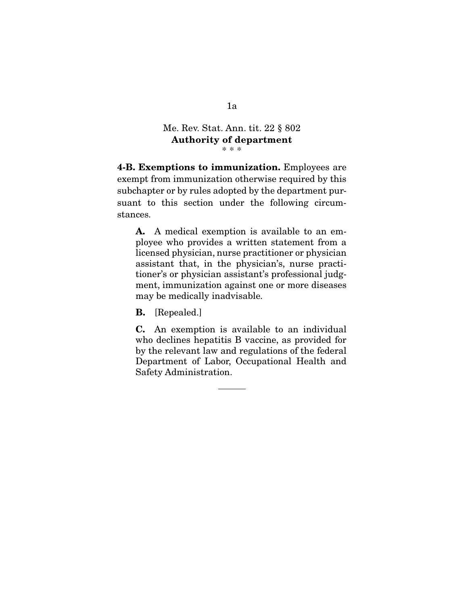#### Me. Rev. Stat. Ann. tit. 22 § 802 **Authority of department**  \* \* \*

**4-B. Exemptions to immunization.** Employees are exempt from immunization otherwise required by this subchapter or by rules adopted by the department pursuant to this section under the following circumstances.

**A.** A medical exemption is available to an employee who provides a written statement from a licensed physician, nurse practitioner or physician assistant that, in the physician's, nurse practitioner's or physician assistant's professional judgment, immunization against one or more diseases may be medically inadvisable.

**B.** [Repealed.]

**C.** An exemption is available to an individual who declines hepatitis B vaccine, as provided for by the relevant law and regulations of the federal Department of Labor, Occupational Health and Safety Administration.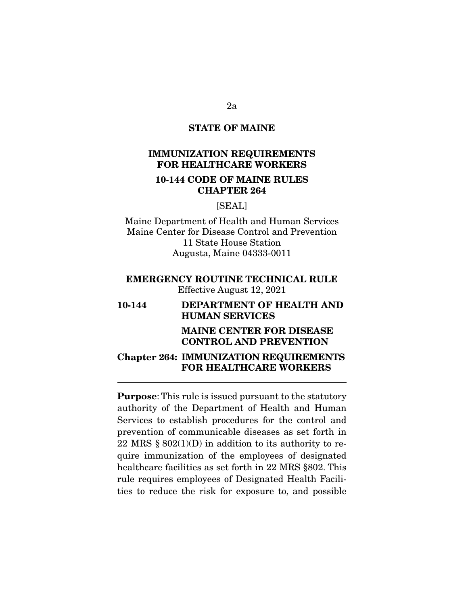## **STATE OF MAINE**

## **IMMUNIZATION REQUIREMENTS FOR HEALTHCARE WORKERS**

## **10-144 CODE OF MAINE RULES CHAPTER 264**

## [SEAL]

Maine Department of Health and Human Services Maine Center for Disease Control and Prevention 11 State House Station Augusta, Maine 04333-0011

## **EMERGENCY ROUTINE TECHNICAL RULE**  Effective August 12, 2021

# **10-144 DEPARTMENT OF HEALTH AND HUMAN SERVICES**

#### **MAINE CENTER FOR DISEASE CONTROL AND PREVENTION**

## **Chapter 264: IMMUNIZATION REQUIREMENTS FOR HEALTHCARE WORKERS**

 $\overline{a}$ 

**Purpose**: This rule is issued pursuant to the statutory authority of the Department of Health and Human Services to establish procedures for the control and prevention of communicable diseases as set forth in 22 MRS  $\S 802(1)(D)$  in addition to its authority to require immunization of the employees of designated healthcare facilities as set forth in 22 MRS §802. This rule requires employees of Designated Health Facilities to reduce the risk for exposure to, and possible

2a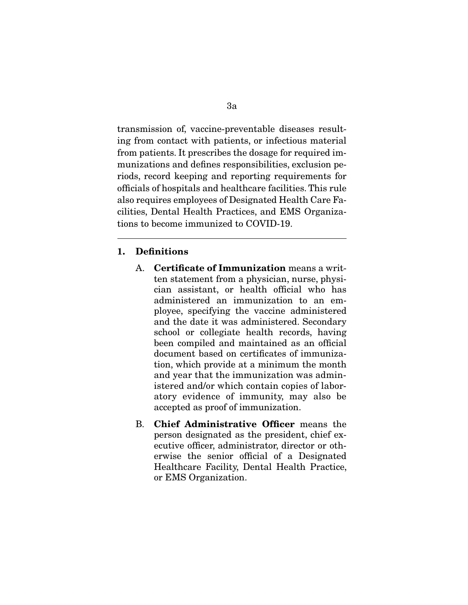transmission of, vaccine-preventable diseases resulting from contact with patients, or infectious material from patients. It prescribes the dosage for required immunizations and defnes responsibilities, exclusion periods, record keeping and reporting requirements for offcials of hospitals and healthcare facilities. This rule also requires employees of Designated Health Care Facilities, Dental Health Practices, and EMS Organizations to become immunized to COVID-19.

#### **1. Defnitions**

 $\overline{a}$ 

- A. **Certifcate of Immunization** means a written statement from a physician, nurse, physician assistant, or health official who has administered an immunization to an employee, specifying the vaccine administered and the date it was administered. Secondary school or collegiate health records, having been compiled and maintained as an official document based on certifcates of immunization, which provide at a minimum the month and year that the immunization was administered and/or which contain copies of laboratory evidence of immunity, may also be accepted as proof of immunization.
- B. **Chief Administrative Officer** means the person designated as the president, chief executive officer, administrator, director or otherwise the senior official of a Designated Healthcare Facility, Dental Health Practice, or EMS Organization.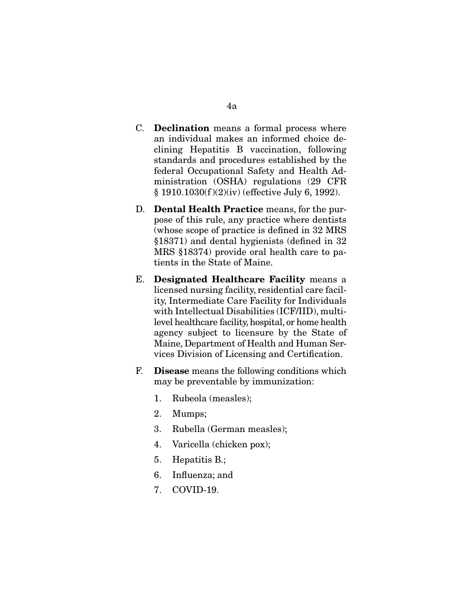- C. **Declination** means a formal process where an individual makes an informed choice declining Hepatitis B vaccination, following standards and procedures established by the federal Occupational Safety and Health Administration (OSHA) regulations (29 CFR § 1910.1030(f )(2)(iv) (effective July 6, 1992).
- D. **Dental Health Practice** means, for the purpose of this rule, any practice where dentists (whose scope of practice is defned in 32 MRS §18371) and dental hygienists (defned in 32 MRS §18374) provide oral health care to patients in the State of Maine.
- E. **Designated Healthcare Facility** means a licensed nursing facility, residential care facility, Intermediate Care Facility for Individuals with Intellectual Disabilities (ICF/IID), multilevel healthcare facility, hospital, or home health agency subject to licensure by the State of Maine, Department of Health and Human Services Division of Licensing and Certifcation.
- F. **Disease** means the following conditions which may be preventable by immunization:
	- 1. Rubeola (measles);
	- 2. Mumps;
	- 3. Rubella (German measles);
	- 4. Varicella (chicken pox);
	- 5. Hepatitis B.;
	- 6. Infuenza; and
	- 7. COVID-19.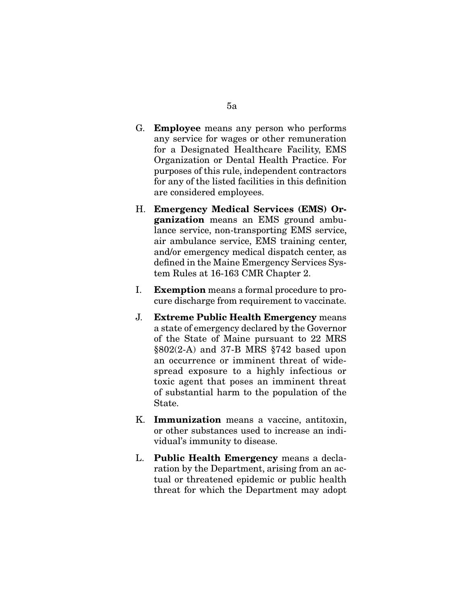- G. **Employee** means any person who performs any service for wages or other remuneration for a Designated Healthcare Facility, EMS Organization or Dental Health Practice. For purposes of this rule, independent contractors for any of the listed facilities in this defnition are considered employees.
- H. **Emergency Medical Services (EMS) Organization** means an EMS ground ambulance service, non-transporting EMS service, air ambulance service, EMS training center, and/or emergency medical dispatch center, as defned in the Maine Emergency Services System Rules at 16-163 CMR Chapter 2.
- I. **Exemption** means a formal procedure to procure discharge from requirement to vaccinate.
- J. **Extreme Public Health Emergency** means a state of emergency declared by the Governor of the State of Maine pursuant to 22 MRS §802(2-A) and 37-B MRS §742 based upon an occurrence or imminent threat of widespread exposure to a highly infectious or toxic agent that poses an imminent threat of substantial harm to the population of the State.
- K. **Immunization** means a vaccine, antitoxin, or other substances used to increase an individual's immunity to disease.
- L. **Public Health Emergency** means a declaration by the Department, arising from an actual or threatened epidemic or public health threat for which the Department may adopt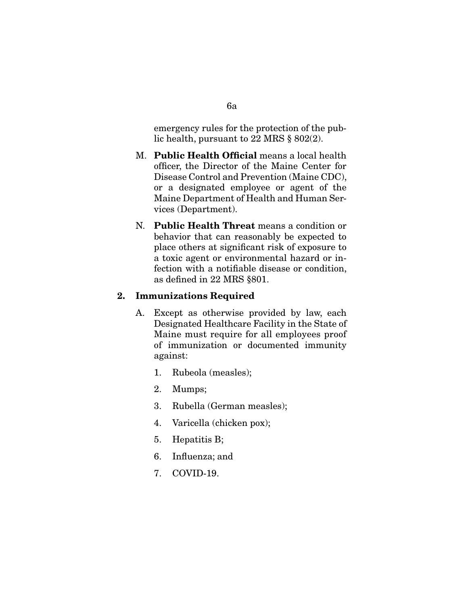emergency rules for the protection of the public health, pursuant to 22 MRS § 802(2).

- M. **Public Health Offcial** means a local health officer, the Director of the Maine Center for Disease Control and Prevention (Maine CDC), or a designated employee or agent of the Maine Department of Health and Human Services (Department).
- N. **Public Health Threat** means a condition or behavior that can reasonably be expected to place others at signifcant risk of exposure to a toxic agent or environmental hazard or infection with a notifable disease or condition, as defned in 22 MRS §801.

## **2. Immunizations Required**

- A. Except as otherwise provided by law, each Designated Healthcare Facility in the State of Maine must require for all employees proof of immunization or documented immunity against:
	- 1. Rubeola (measles);
	- 2. Mumps;
	- 3. Rubella (German measles);
	- 4. Varicella (chicken pox);
	- 5. Hepatitis B;
	- 6. Infuenza; and
	- 7. COVID-19.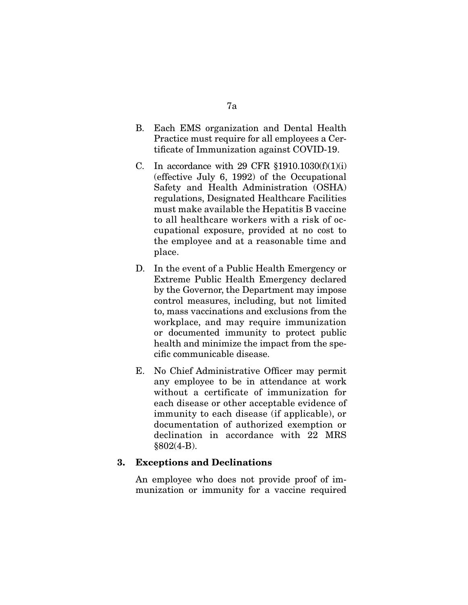- B. Each EMS organization and Dental Health Practice must require for all employees a Certifcate of Immunization against COVID-19.
- C. In accordance with 29 CFR  $$1910.1030(f)(1)(i)$ (effective July 6, 1992) of the Occupational Safety and Health Administration (OSHA) regulations, Designated Healthcare Facilities must make available the Hepatitis B vaccine to all healthcare workers with a risk of occupational exposure, provided at no cost to the employee and at a reasonable time and place.
- D. In the event of a Public Health Emergency or Extreme Public Health Emergency declared by the Governor, the Department may impose control measures, including, but not limited to, mass vaccinations and exclusions from the workplace, and may require immunization or documented immunity to protect public health and minimize the impact from the specifc communicable disease.
- E. No Chief Administrative Officer may permit any employee to be in attendance at work without a certificate of immunization for each disease or other acceptable evidence of immunity to each disease (if applicable), or documentation of authorized exemption or declination in accordance with 22 MRS §802(4-B).

## **3. Exceptions and Declinations**

 An employee who does not provide proof of immunization or immunity for a vaccine required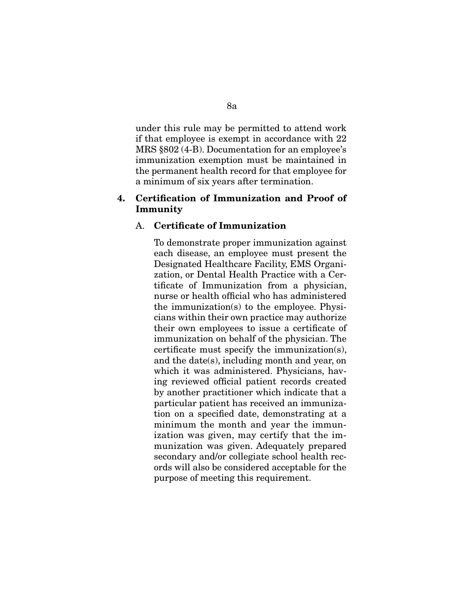under this rule may be permitted to attend work if that employee is exempt in accordance with 22 MRS §802 (4-B). Documentation for an employee's immunization exemption must be maintained in the permanent health record for that employee for a minimum of six years after termination.

## **4. Certifcation of Immunization and Proof of Immunity**

#### A. **Certifcate of Immunization**

 To demonstrate proper immunization against each disease, an employee must present the Designated Healthcare Facility, EMS Organization, or Dental Health Practice with a Certifcate of Immunization from a physician, nurse or health official who has administered the immunization(s) to the employee. Physicians within their own practice may authorize their own employees to issue a certifcate of immunization on behalf of the physician. The certifcate must specify the immunization(s), and the date(s), including month and year, on which it was administered. Physicians, having reviewed offcial patient records created by another practitioner which indicate that a particular patient has received an immunization on a specifed date, demonstrating at a minimum the month and year the immunization was given, may certify that the immunization was given. Adequately prepared secondary and/or collegiate school health records will also be considered acceptable for the purpose of meeting this requirement.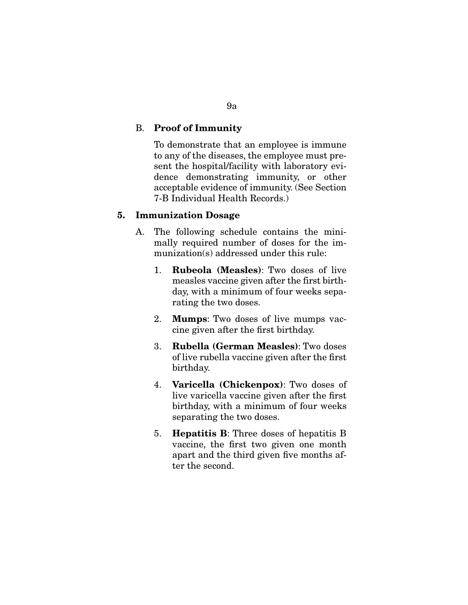## B. **Proof of Immunity**

 To demonstrate that an employee is immune to any of the diseases, the employee must present the hospital/facility with laboratory evidence demonstrating immunity, or other acceptable evidence of immunity. (See Section 7-B Individual Health Records.)

## **5. Immunization Dosage**

- A. The following schedule contains the minimally required number of doses for the immunization(s) addressed under this rule:
	- 1. **Rubeola (Measles)**: Two doses of live measles vaccine given after the first birthday, with a minimum of four weeks separating the two doses.
	- 2. **Mumps**: Two doses of live mumps vaccine given after the frst birthday.
	- 3. **Rubella (German Measles)**: Two doses of live rubella vaccine given after the frst birthday.
	- 4. **Varicella (Chickenpox)**: Two doses of live varicella vaccine given after the frst birthday, with a minimum of four weeks separating the two doses.
	- 5. **Hepatitis B**: Three doses of hepatitis B vaccine, the frst two given one month apart and the third given fve months after the second.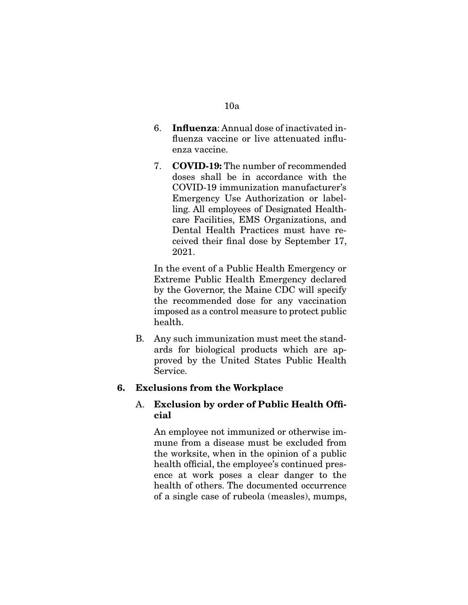#### 10a

- 6. **Infuenza**: Annual dose of inactivated infuenza vaccine or live attenuated infuenza vaccine.
- 7. **COVID-19:** The number of recommended doses shall be in accordance with the COVID-19 immunization manufacturer's Emergency Use Authorization or labelling. All employees of Designated Healthcare Facilities, EMS Organizations, and Dental Health Practices must have received their fnal dose by September 17, 2021.

 In the event of a Public Health Emergency or Extreme Public Health Emergency declared by the Governor, the Maine CDC will specify the recommended dose for any vaccination imposed as a control measure to protect public health.

B. Any such immunization must meet the standards for biological products which are approved by the United States Public Health Service.

## **6. Exclusions from the Workplace**

## A. **Exclusion by order of Public Health Offcial**

 An employee not immunized or otherwise immune from a disease must be excluded from the worksite, when in the opinion of a public health official, the employee's continued presence at work poses a clear danger to the health of others. The documented occurrence of a single case of rubeola (measles), mumps,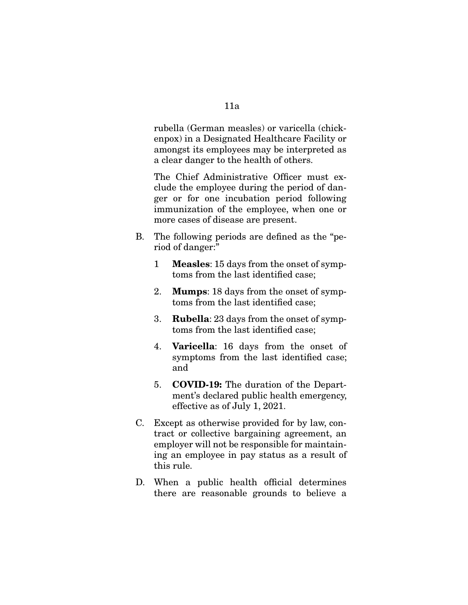rubella (German measles) or varicella (chickenpox) in a Designated Healthcare Facility or amongst its employees may be interpreted as a clear danger to the health of others.

The Chief Administrative Officer must exclude the employee during the period of danger or for one incubation period following immunization of the employee, when one or more cases of disease are present.

- B. The following periods are defned as the "period of danger:"
	- 1 **Measles**: 15 days from the onset of symptoms from the last identifed case;
	- 2. **Mumps**: 18 days from the onset of symptoms from the last identifed case;
	- 3. **Rubella**: 23 days from the onset of symptoms from the last identifed case;
	- 4. **Varicella**: 16 days from the onset of symptoms from the last identifed case; and
	- 5. **COVID-19:** The duration of the Department's declared public health emergency, effective as of July 1, 2021.
- C. Except as otherwise provided for by law, contract or collective bargaining agreement, an employer will not be responsible for maintaining an employee in pay status as a result of this rule.
- D. When a public health official determines there are reasonable grounds to believe a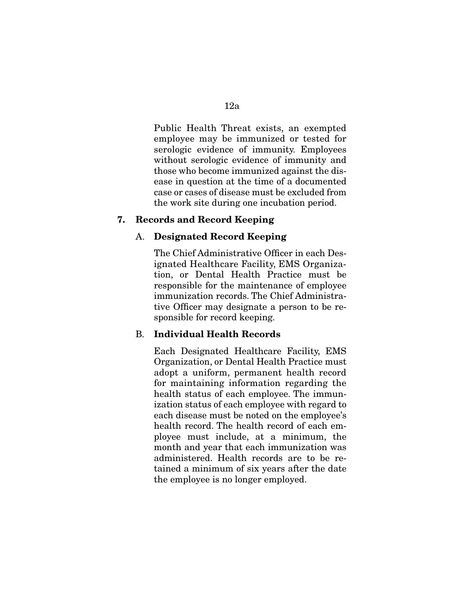Public Health Threat exists, an exempted employee may be immunized or tested for serologic evidence of immunity. Employees without serologic evidence of immunity and those who become immunized against the disease in question at the time of a documented case or cases of disease must be excluded from the work site during one incubation period.

## **7. Records and Record Keeping**

#### A. **Designated Record Keeping**

The Chief Administrative Officer in each Designated Healthcare Facility, EMS Organization, or Dental Health Practice must be responsible for the maintenance of employee immunization records. The Chief Administrative Officer may designate a person to be responsible for record keeping.

#### B. **Individual Health Records**

 Each Designated Healthcare Facility, EMS Organization, or Dental Health Practice must adopt a uniform, permanent health record for maintaining information regarding the health status of each employee. The immunization status of each employee with regard to each disease must be noted on the employee's health record. The health record of each employee must include, at a minimum, the month and year that each immunization was administered. Health records are to be retained a minimum of six years after the date the employee is no longer employed.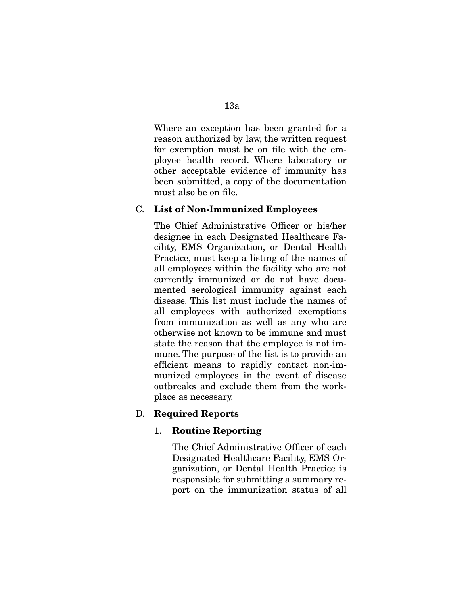Where an exception has been granted for a reason authorized by law, the written request for exemption must be on fle with the employee health record. Where laboratory or other acceptable evidence of immunity has been submitted, a copy of the documentation must also be on fle.

#### C. **List of Non-Immunized Employees**

The Chief Administrative Officer or his/her designee in each Designated Healthcare Facility, EMS Organization, or Dental Health Practice, must keep a listing of the names of all employees within the facility who are not currently immunized or do not have documented serological immunity against each disease. This list must include the names of all employees with authorized exemptions from immunization as well as any who are otherwise not known to be immune and must state the reason that the employee is not immune. The purpose of the list is to provide an efficient means to rapidly contact non-immunized employees in the event of disease outbreaks and exclude them from the workplace as necessary.

## D. **Required Reports**

#### 1. **Routine Reporting**

The Chief Administrative Officer of each Designated Healthcare Facility, EMS Organization, or Dental Health Practice is responsible for submitting a summary report on the immunization status of all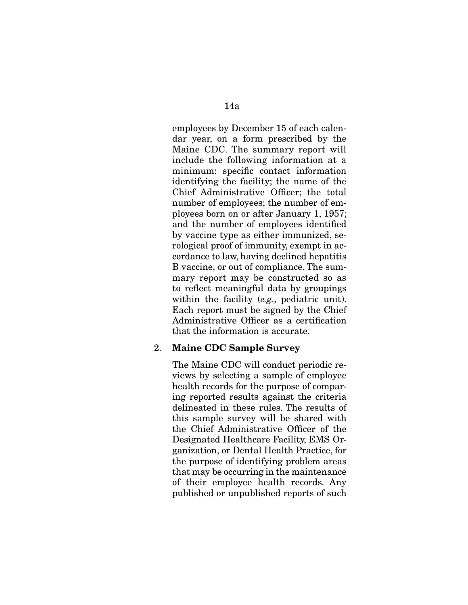employees by December 15 of each calendar year, on a form prescribed by the Maine CDC. The summary report will include the following information at a minimum: specifc contact information identifying the facility; the name of the Chief Administrative Officer; the total number of employees; the number of employees born on or after January 1, 1957; and the number of employees identifed by vaccine type as either immunized, serological proof of immunity, exempt in accordance to law, having declined hepatitis B vaccine, or out of compliance. The summary report may be constructed so as to refect meaningful data by groupings within the facility (*e.g.*, pediatric unit). Each report must be signed by the Chief Administrative Officer as a certification that the information is accurate.

#### 2. **Maine CDC Sample Survey**

 The Maine CDC will conduct periodic reviews by selecting a sample of employee health records for the purpose of comparing reported results against the criteria delineated in these rules. The results of this sample survey will be shared with the Chief Administrative Officer of the Designated Healthcare Facility, EMS Organization, or Dental Health Practice, for the purpose of identifying problem areas that may be occurring in the maintenance of their employee health records. Any published or unpublished reports of such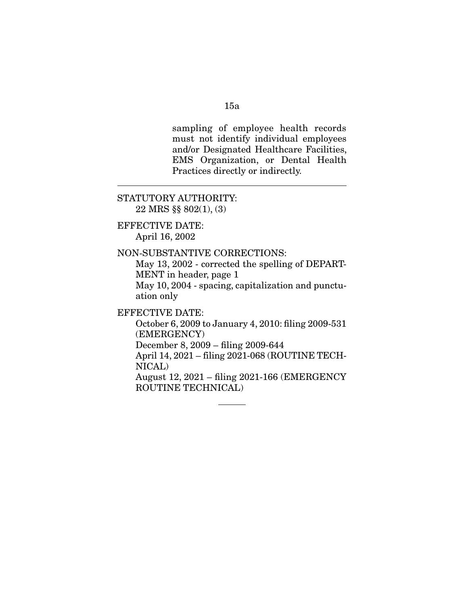## 15a

sampling of employee health records must not identify individual employees and/or Designated Healthcare Facilities, EMS Organization, or Dental Health Practices directly or indirectly.

#### STATUTORY AUTHORITY:

22 MRS §§ 802(1), (3)

#### EFFECTIVE DATE: April 16, 2002

 $\overline{a}$ 

#### NON-SUBSTANTIVE CORRECTIONS:

 May 13, 2002 - corrected the spelling of DEPART-MENT in header, page 1

 May 10, 2004 - spacing, capitalization and punctuation only

EFFECTIVE DATE:

 October 6, 2009 to January 4, 2010: fling 2009-531 (EMERGENCY)

December 8, 2009 – fling 2009-644

 April 14, 2021 – filing 2021-068 (ROUTINE TECH-NICAL)

 August 12, 2021 – fling 2021-166 (EMERGENCY ROUTINE TECHNICAL)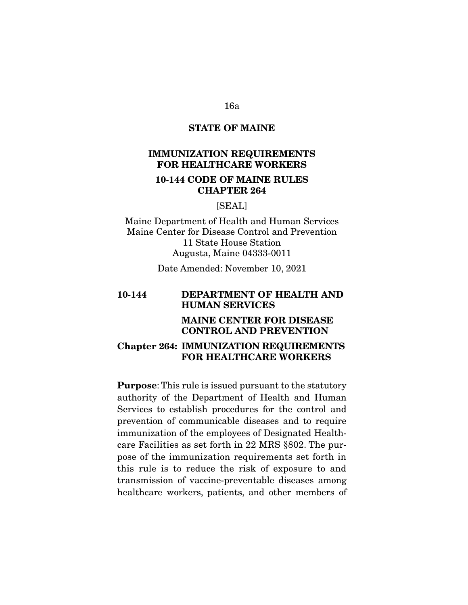# **STATE OF MAINE**

# **IMMUNIZATION REQUIREMENTS FOR HEALTHCARE WORKERS**

## **10-144 CODE OF MAINE RULES CHAPTER 264**

## [SEAL]

Maine Department of Health and Human Services Maine Center for Disease Control and Prevention 11 State House Station Augusta, Maine 04333-0011

Date Amended: November 10, 2021

# **10-144 DEPARTMENT OF HEALTH AND HUMAN SERVICES MAINE CENTER FOR DISEASE CONTROL AND PREVENTION**

## **Chapter 264: IMMUNIZATION REQUIREMENTS FOR HEALTHCARE WORKERS**

**Purpose**: This rule is issued pursuant to the statutory authority of the Department of Health and Human Services to establish procedures for the control and prevention of communicable diseases and to require immunization of the employees of Designated Healthcare Facilities as set forth in 22 MRS §802. The purpose of the immunization requirements set forth in this rule is to reduce the risk of exposure to and transmission of vaccine-preventable diseases among healthcare workers, patients, and other members of

#### 16a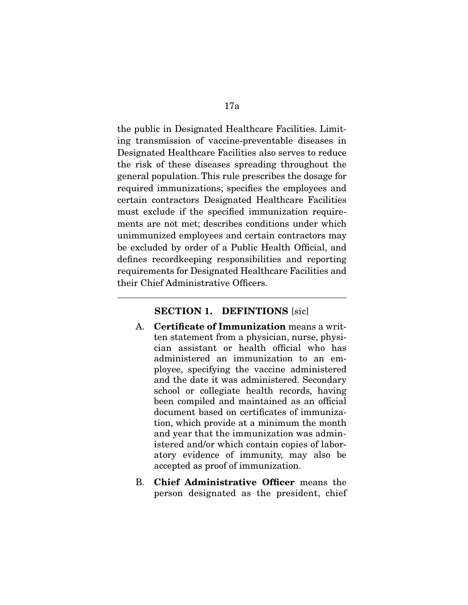the public in Designated Healthcare Facilities. Limiting transmission of vaccine-preventable diseases in Designated Healthcare Facilities also serves to reduce the risk of these diseases spreading throughout the general population. This rule prescribes the dosage for required immunizations; specifes the employees and certain contractors Designated Healthcare Facilities must exclude if the specifed immunization requirements are not met; describes conditions under which unimmunized employees and certain contractors may be excluded by order of a Public Health Official, and defnes recordkeeping responsibilities and reporting requirements for Designated Healthcare Facilities and their Chief Administrative Officers.

#### **SECTION 1. DEFINTIONS** [sic]

 $\overline{a}$ 

- A. **Certifcate of Immunization** means a written statement from a physician, nurse, physician assistant or health offcial who has administered an immunization to an employee, specifying the vaccine administered and the date it was administered. Secondary school or collegiate health records, having been compiled and maintained as an official document based on certifcates of immunization, which provide at a minimum the month and year that the immunization was administered and/or which contain copies of laboratory evidence of immunity, may also be accepted as proof of immunization.
- B. **Chief Administrative Officer** means the person designated as the president, chief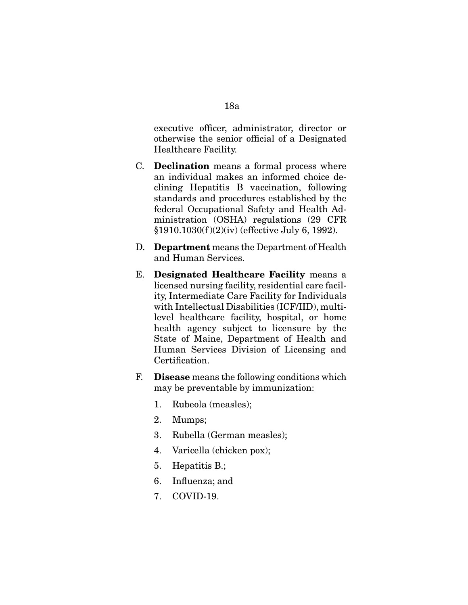executive officer, administrator, director or otherwise the senior offcial of a Designated Healthcare Facility.

- C. **Declination** means a formal process where an individual makes an informed choice declining Hepatitis B vaccination, following standards and procedures established by the federal Occupational Safety and Health Administration (OSHA) regulations (29 CFR §1910.1030(f )(2)(iv) (effective July 6, 1992).
- D. **Department** means the Department of Health and Human Services.
- E. **Designated Healthcare Facility** means a licensed nursing facility, residential care facility, Intermediate Care Facility for Individuals with Intellectual Disabilities (ICF/IID), multilevel healthcare facility, hospital, or home health agency subject to licensure by the State of Maine, Department of Health and Human Services Division of Licensing and Certification.
- F. **Disease** means the following conditions which may be preventable by immunization:
	- 1. Rubeola (measles);
	- 2. Mumps;
	- 3. Rubella (German measles);
	- 4. Varicella (chicken pox);
	- 5. Hepatitis B.;
	- 6. Infuenza; and
	- 7. COVID-19.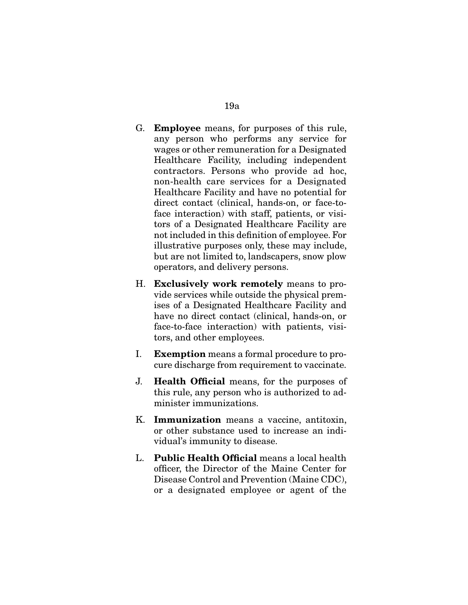- G. **Employee** means, for purposes of this rule, any person who performs any service for wages or other remuneration for a Designated Healthcare Facility, including independent contractors. Persons who provide ad hoc, non-health care services for a Designated Healthcare Facility and have no potential for direct contact (clinical, hands-on, or face-toface interaction) with staff, patients, or visitors of a Designated Healthcare Facility are not included in this defnition of employee. For illustrative purposes only, these may include, but are not limited to, landscapers, snow plow operators, and delivery persons.
- H. **Exclusively work remotely** means to provide services while outside the physical premises of a Designated Healthcare Facility and have no direct contact (clinical, hands-on, or face-to-face interaction) with patients, visitors, and other employees.
- I. **Exemption** means a formal procedure to procure discharge from requirement to vaccinate.
- J. **Health Offcial** means, for the purposes of this rule, any person who is authorized to administer immunizations.
- K. **Immunization** means a vaccine, antitoxin, or other substance used to increase an individual's immunity to disease.
- L. **Public Health Offcial** means a local health officer, the Director of the Maine Center for Disease Control and Prevention (Maine CDC), or a designated employee or agent of the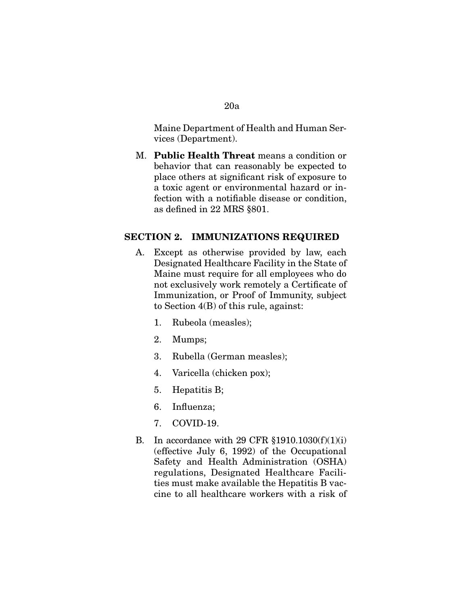## Maine Department of Health and Human Services (Department).

M. **Public Health Threat** means a condition or behavior that can reasonably be expected to place others at signifcant risk of exposure to a toxic agent or environmental hazard or infection with a notifable disease or condition, as defned in 22 MRS §801.

## **SECTION 2. IMMUNIZATIONS REQUIRED**

- A. Except as otherwise provided by law, each Designated Healthcare Facility in the State of Maine must require for all employees who do not exclusively work remotely a Certifcate of Immunization, or Proof of Immunity, subject to Section 4(B) of this rule, against:
	- 1. Rubeola (measles);
	- 2. Mumps;
	- 3. Rubella (German measles);
	- 4. Varicella (chicken pox);
	- 5. Hepatitis B;
	- 6. Infuenza;
	- 7. COVID-19.
- B. In accordance with 29 CFR §1910.1030(f)(1)(i) (effective July 6, 1992) of the Occupational Safety and Health Administration (OSHA) regulations, Designated Healthcare Facilities must make available the Hepatitis B vaccine to all healthcare workers with a risk of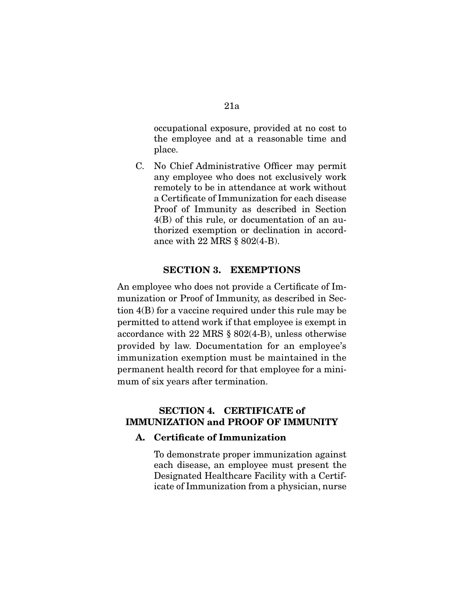occupational exposure, provided at no cost to the employee and at a reasonable time and place.

C. No Chief Administrative Officer may permit any employee who does not exclusively work remotely to be in attendance at work without a Certifcate of Immunization for each disease Proof of Immunity as described in Section 4(B) of this rule, or documentation of an authorized exemption or declination in accordance with 22 MRS § 802(4-B).

## **SECTION 3. EXEMPTIONS**

An employee who does not provide a Certifcate of Immunization or Proof of Immunity, as described in Section 4(B) for a vaccine required under this rule may be permitted to attend work if that employee is exempt in accordance with 22 MRS § 802(4-B), unless otherwise provided by law. Documentation for an employee's immunization exemption must be maintained in the permanent health record for that employee for a minimum of six years after termination.

## **SECTION 4. CERTIFICATE of IMMUNIZATION and PROOF OF IMMUNITY**

#### **A. Certifcate of Immunization**

 To demonstrate proper immunization against each disease, an employee must present the Designated Healthcare Facility with a Certificate of Immunization from a physician, nurse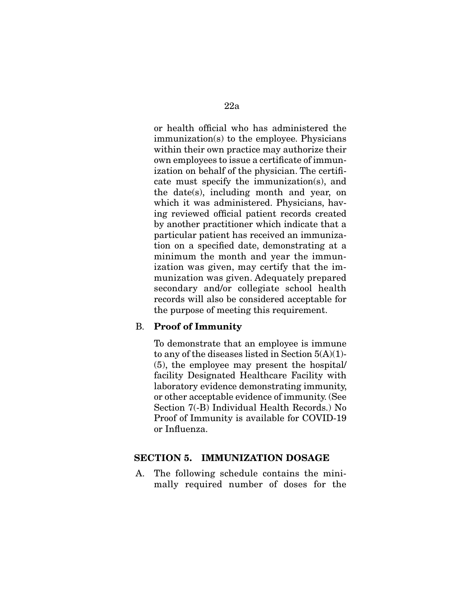or health offcial who has administered the immunization(s) to the employee. Physicians within their own practice may authorize their own employees to issue a certifcate of immunization on behalf of the physician. The certifcate must specify the immunization(s), and the date(s), including month and year, on which it was administered. Physicians, having reviewed offcial patient records created by another practitioner which indicate that a particular patient has received an immunization on a specifed date, demonstrating at a minimum the month and year the immunization was given, may certify that the immunization was given. Adequately prepared secondary and/or collegiate school health records will also be considered acceptable for the purpose of meeting this requirement.

## B. **Proof of Immunity**

 To demonstrate that an employee is immune to any of the diseases listed in Section  $5(A)(1)$ -(5), the employee may present the hospital/ facility Designated Healthcare Facility with laboratory evidence demonstrating immunity, or other acceptable evidence of immunity. (See Section 7(-B) Individual Health Records.) No Proof of Immunity is available for COVID-19 or Infuenza.

## **SECTION 5. IMMUNIZATION DOSAGE**

A. The following schedule contains the minimally required number of doses for the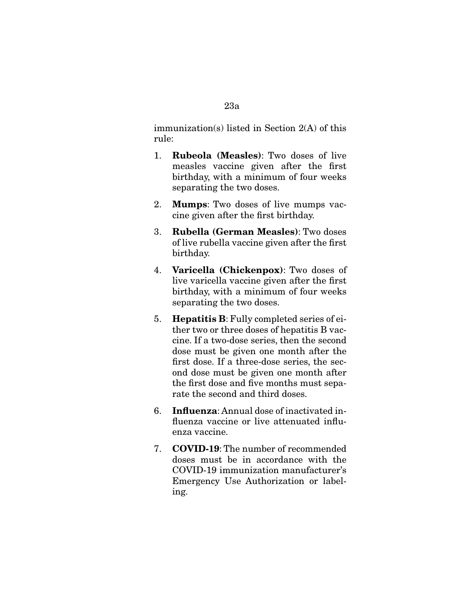## immunization(s) listed in Section 2(A) of this rule:

- 1. **Rubeola (Measles)**: Two doses of live measles vaccine given after the frst birthday, with a minimum of four weeks separating the two doses.
- 2. **Mumps**: Two doses of live mumps vaccine given after the frst birthday.
- 3. **Rubella (German Measles)**: Two doses of live rubella vaccine given after the frst birthday.
- 4. **Varicella (Chickenpox)**: Two doses of live varicella vaccine given after the frst birthday, with a minimum of four weeks separating the two doses.
- 5. **Hepatitis B**: Fully completed series of either two or three doses of hepatitis B vaccine. If a two-dose series, then the second dose must be given one month after the frst dose. If a three-dose series, the second dose must be given one month after the frst dose and fve months must separate the second and third doses.
- 6. **Infuenza**: Annual dose of inactivated infuenza vaccine or live attenuated infuenza vaccine.
- 7. **COVID-19**: The number of recommended doses must be in accordance with the COVID-19 immunization manufacturer's Emergency Use Authorization or labeling.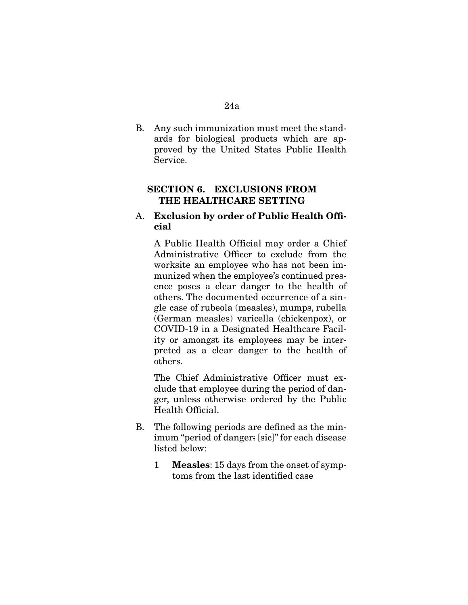B. Any such immunization must meet the standards for biological products which are approved by the United States Public Health Service.

# **SECTION 6. EXCLUSIONS FROM THE HEALTHCARE SETTING**

## A. **Exclusion by order of Public Health Offcial**

 A Public Health Official may order a Chief Administrative Officer to exclude from the worksite an employee who has not been immunized when the employee's continued presence poses a clear danger to the health of others. The documented occurrence of a single case of rubeola (measles), mumps, rubella (German measles) varicella (chickenpox), or COVID-19 in a Designated Healthcare Facility or amongst its employees may be interpreted as a clear danger to the health of others.

The Chief Administrative Officer must exclude that employee during the period of danger, unless otherwise ordered by the Public Health Official.

- B. The following periods are defned as the minimum "period of danger: [sic]" for each disease listed below:
	- 1 **Measles**: 15 days from the onset of symptoms from the last identifed case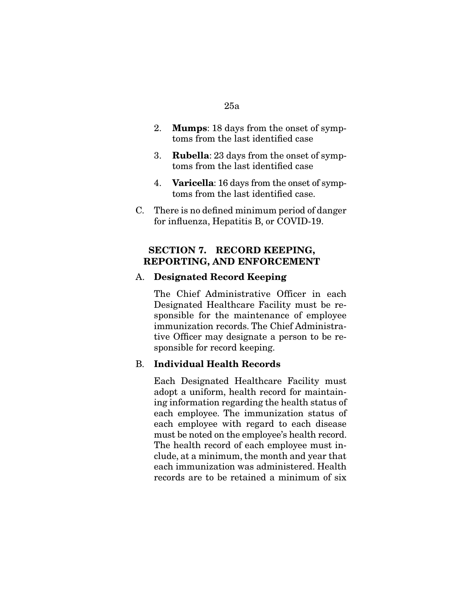#### 25a

- 2. **Mumps**: 18 days from the onset of symptoms from the last identifed case
- 3. **Rubella**: 23 days from the onset of symptoms from the last identifed case
- 4. **Varicella**: 16 days from the onset of symptoms from the last identifed case.
- C. There is no defned minimum period of danger for infuenza, Hepatitis B, or COVID-19.

# **SECTION 7. RECORD KEEPING, REPORTING, AND ENFORCEMENT**

## A. **Designated Record Keeping**

 The Chief Administrative Officer in each Designated Healthcare Facility must be responsible for the maintenance of employee immunization records. The Chief Administrative Officer may designate a person to be responsible for record keeping.

## B. **Individual Health Records**

 Each Designated Healthcare Facility must adopt a uniform, health record for maintaining information regarding the health status of each employee. The immunization status of each employee with regard to each disease must be noted on the employee's health record. The health record of each employee must include, at a minimum, the month and year that each immunization was administered. Health records are to be retained a minimum of six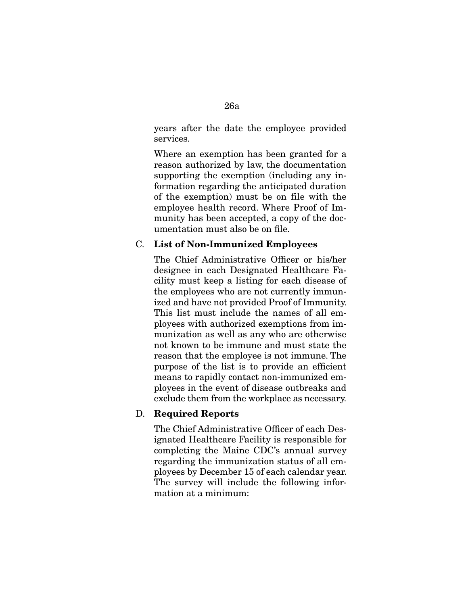years after the date the employee provided services.

 Where an exemption has been granted for a reason authorized by law, the documentation supporting the exemption (including any information regarding the anticipated duration of the exemption) must be on file with the employee health record. Where Proof of Immunity has been accepted, a copy of the documentation must also be on fle.

### C. **List of Non-Immunized Employees**

The Chief Administrative Officer or his/her designee in each Designated Healthcare Facility must keep a listing for each disease of the employees who are not currently immunized and have not provided Proof of Immunity. This list must include the names of all employees with authorized exemptions from immunization as well as any who are otherwise not known to be immune and must state the reason that the employee is not immune. The purpose of the list is to provide an efficient means to rapidly contact non-immunized employees in the event of disease outbreaks and exclude them from the workplace as necessary.

## D. **Required Reports**

The Chief Administrative Officer of each Designated Healthcare Facility is responsible for completing the Maine CDC's annual survey regarding the immunization status of all employees by December 15 of each calendar year. The survey will include the following information at a minimum: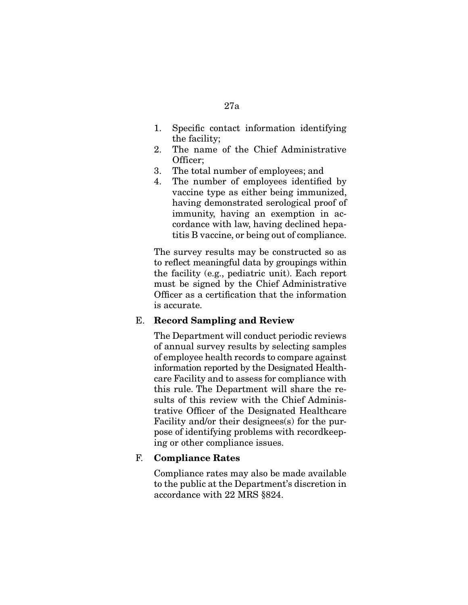- 1. Specifc contact information identifying the facility;
- 2. The name of the Chief Administrative Officer;
- 3. The total number of employees; and
- 4. The number of employees identifed by vaccine type as either being immunized, having demonstrated serological proof of immunity, having an exemption in accordance with law, having declined hepatitis B vaccine, or being out of compliance.

 The survey results may be constructed so as to reflect meaningful data by groupings within the facility (e.g., pediatric unit). Each report must be signed by the Chief Administrative Officer as a certification that the information is accurate.

# E. **Record Sampling and Review**

 The Department will conduct periodic reviews of annual survey results by selecting samples of employee health records to compare against information reported by the Designated Healthcare Facility and to assess for compliance with this rule. The Department will share the results of this review with the Chief Administrative Officer of the Designated Healthcare Facility and/or their designees(s) for the purpose of identifying problems with recordkeeping or other compliance issues.

# F. **Compliance Rates**

 Compliance rates may also be made available to the public at the Department's discretion in accordance with 22 MRS §824.